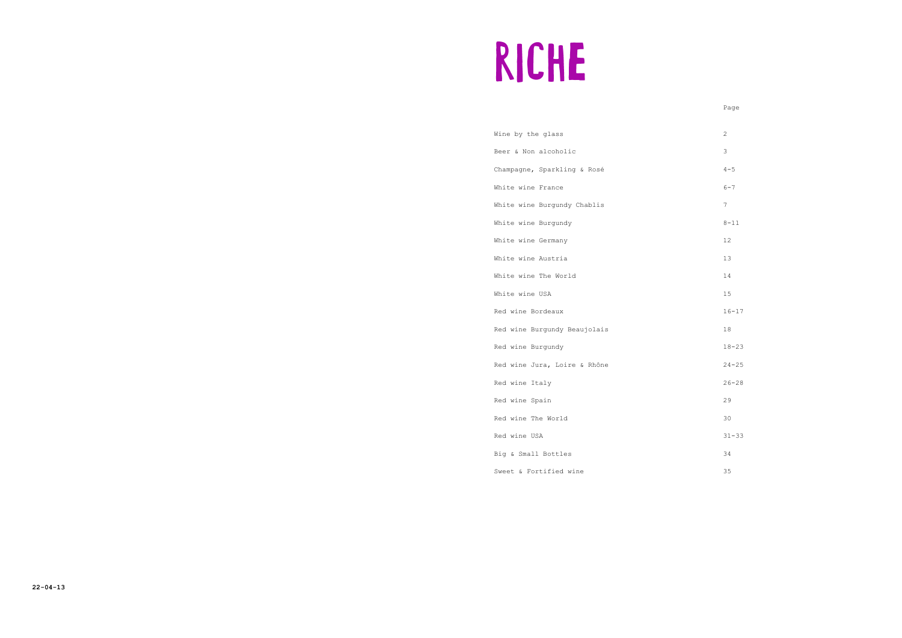# RICHE

Wine by the glass 2 Beer & Non alcoholic 3 Champagne, Sparkling & Rosé 4-5 White wine France 6-7 White wine Burgundy Chablis 7 White wine Burgundy 8-11 White wine Germany 12 White wine Austria 13 White wine The World 14 White wine USA 15 Red wine Bordeaux 16-17 Red wine Burgundy Beaujolais 18 Red wine Burgundy 18-23 Red wine Jura, Loire & Rhône 24-25 Red wine Italy 26-28 Red wine Spain 29 Red wine The World 30

Red wine USA 31-33

Big & Small Bottles 34

Sweet & Fortified wine 35

Page in the state of the state of the state of the state of the state of the state of the state of the state of the state of the state of the state of the state of the state of the state of the state of the state of the st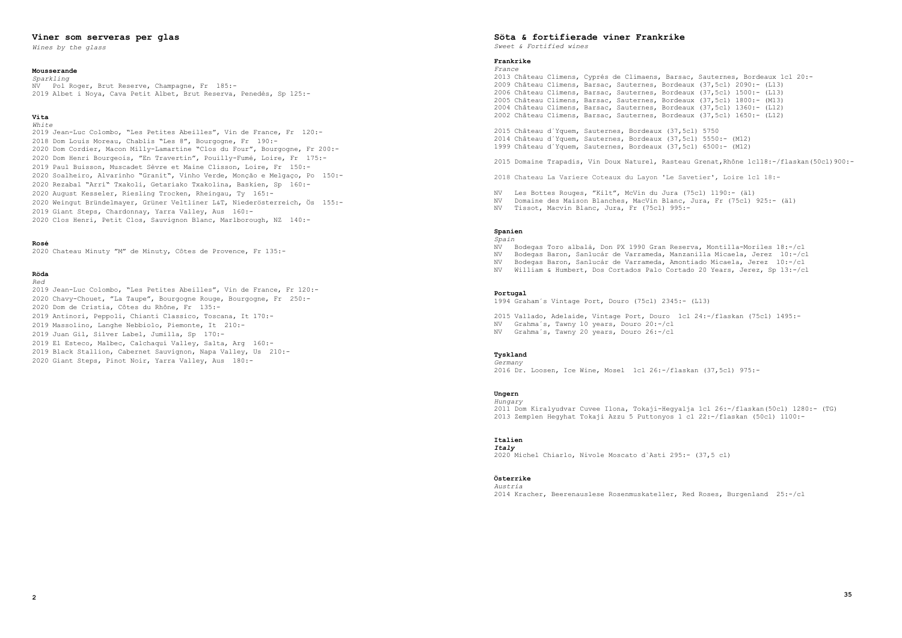# **Viner som serveras per glas**

*Wines by the glass*

#### **Mousserande**

#### **Vita**   $Wh + \alpha$

*Sparkling* NV Pol Roger, Brut Reserve, Champagne, Fr 185:- 2019 Albet i Noya, Cava Petit Albet, Brut Reserva, Penedès, Sp 125:-

 Jean-Luc Colombo, "Les Petites Abeilles", Vin de France, Fr 120:- 2018 Dom Louis Moreau, Chablis "Les 8", Bourgogne, Fr 190:- Dom Cordier, Macon Milly-Lamartine "Clos du Four", Bourgogne, Fr 200:- Dom Henri Bourgeois, "En Travertin", Pouilly-Fumé, Loire, Fr 175:- Paul Buisson, Muscadet Sèvre et Maine Clisson, Loire, Fr 150:- Soalheiro, Alvarinho "Granit", Vinho Verde, Monção e Melgaço, Po 150:- 2020 Rezabal "Arri" Txakoli, Getariako Txakolina, Baskien, Sp 160:- August Kesseler, Riesling Trocken, Rheingau, Ty 165:- 2020 Weingut Bründelmayer, Grüner Veltliner L&T, Niederösterreich, Ös 155:- Giant Steps, Chardonnay, Yarra Valley, Aus 160:- 2020 Clos Henri, Petit Clos, Sauvignon Blanc, Marlborough, NZ 140:-

# **Rosé**

2020 Chateau Minuty "M" de Minuty, Côtes de Provence, Fr 135:-

#### **Röda** *Red*

 Jean-Luc Colombo, "Les Petites Abeilles", Vin de France, Fr 120:- 2020 Chavy-Chouet, "La Taupe", Bourgogne Rouge, Bourgogne, Fr 250:- Dom de Cristia, Côtes du Rhône, Fr 135:- Antinori, Peppoli, Chianti Classico, Toscana, It 170:- Massolino, Langhe Nebbiolo, Piemonte, It 210:- Juan Gil, Silver Label, Jumilla, Sp 170:- El Esteco, Malbec, Calchaquí Valley, Salta, Arg 160:- Black Stallion, Cabernet Sauvignon, Napa Valley, Us 210:- 2020 Giant Steps, Pinot Noir, Yarra Valley, Aus 180:-

# **Söta & fortifierade viner Frankrike**

*Sweet & Fortified wines*

# **Frankrike**

*France* 2013 Château Climens, Cyprés de Climaens, Barsac, Sauternes, Bordeaux 1cl 20:- 2009 Château Climens, Barsac, Sauternes, Bordeaux (37,5cl) 2090:- (L13) 2006 Château Climens, Barsac, Sauternes, Bordeaux (37,5cl) 1500:- (L13) 2005 Château Climens, Barsac, Sauternes, Bordeaux (37,5cl) 1800:- (M13) 2004 Château Climens, Barsac, Sauternes, Bordeaux (37,5cl) 1360:- (L12) 2002 Château Climens, Barsac, Sauternes, Bordeaux (37,5cl) 1650:- (L12)

2015 Château d´Yquem, Sauternes, Bordeaux (37,5cl) 5750 2014 Château d´Yquem, Sauternes, Bordeaux (37,5cl) 5550:- (M12) 1999 Château d´Yquem, Sauternes, Bordeaux (37,5cl) 6500:- (M12)

2018 Chateau La Variere Coteaux du Layon 'Le Savetier', Loire 1cl 18:-

NV Les Bottes Rouges, "Kilt", McVin du Jura (75cl) 1190:- (ä1)

NV Domaine des Maison Blanches, MacVin Blanc, Jura, Fr (75cl) 925:- (ä1)

NV Tissot, Macvin Blanc, Jura, Fr (75cl) 995:-

```
2015 Domaine Trapadis, Vin Doux Naturel, Rasteau Grenat,Rhône 1cl18:-/flaskan(50cl)900:-
NV Bodegas Toro albalá, Don PX 1990 Gran Reserva, Montilla-Moriles 18:-/cl
NV Bodegas Baron, Sanlucár de Varrameda, Manzanilla Micaela, Jerez 10:-/cl
NV Bodegas Baron, Sanlucár de Varrameda, Amontiado Micaela, Jerez 10:-/cl
NV William & Humbert, Dos Cortados Palo Cortado 20 Years, Jerez, Sp 13:-/cl
```
# **Spanien**

*Spain*

# **Portugal**

1994 Graham´s Vintage Port, Douro (75cl) 2345:- (L13)

2015 Vallado, Adelaide, Vintage Port, Douro 1cl 24:-/flaskan (75cl) 1495:-

NV Grahma´s, Tawny 10 years, Douro 20:-/cl

NV Grahma´s, Tawny 20 years, Douro 26:-/cl

# **Tyskland**

*Germany* 2016 Dr. Loosen, Ice Wine, Mosel 1cl 26:-/flaskan (37,5cl) 975:-

# **Ungern**

*Hungary* 2011 Dom Kiralyudvar Cuvee Ilona, Tokaji-Hegyalja 1cl 26:-/flaskan(50cl) 1280:- (TG) 2013 Zemplen Hegyhat Tokaji Azzu 5 Puttonyos 1 cl 22:-/flaskan (50cl) 1100:-

# **Italien**

*Italy* 2020 Michel Chiarlo, Nivole Moscato d`Asti 295:- (37,5 cl)

# **Österrike**

*Austria* 2014 Kracher, Beerenauslese Rosenmuskateller, Red Roses, Burgenland 25:-/cl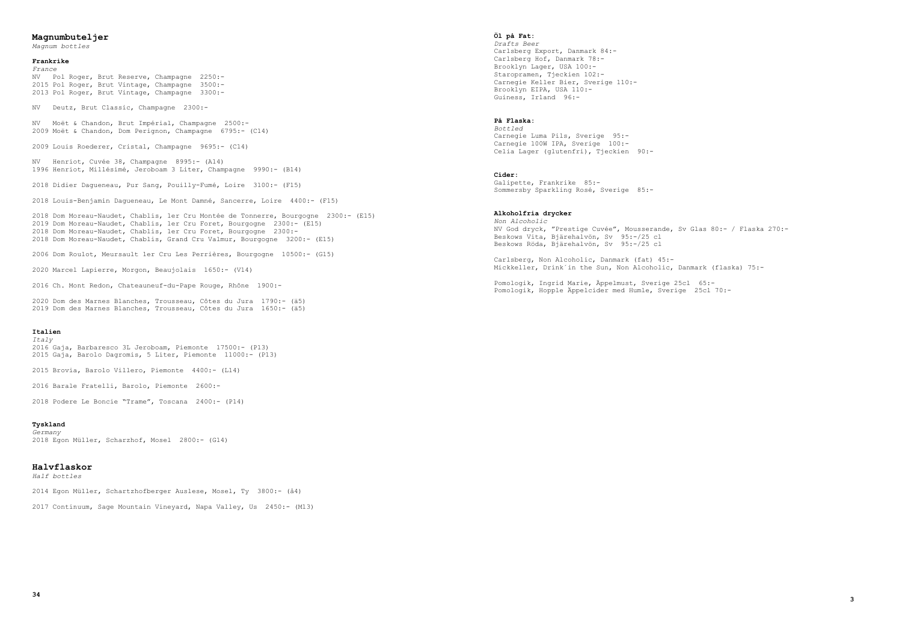# **Magnumbuteljer**

*Magnum bottles*

# **Frankrike**

*France* NV Pol Roger, Brut Reserve, Champagne 2250:- 2015 Pol Roger, Brut Vintage, Champagne 3500:- 2013 Pol Roger, Brut Vintage, Champagne 3300:-

NV Deutz, Brut Classic, Champagne 2300:-

NV Moët & Chandon, Brut Impérial, Champagne 2500:- 2009 Moët & Chandon, Dom Perignon, Champagne 6795:- (C14)

2009 Louis Roederer, Cristal, Champagne 9695:- (C14)

NV Henriot, Cuvée 38, Champagne 8995:- (A14) 1996 Henriot, Millésimé, Jeroboam 3 Liter, Champagne 9990:- (B14)

2018 Didier Dagueneau, Pur Sang, Pouilly-Fumé, Loire 3100:- (F15)

2018 Louis-Benjamin Dagueneau, Le Mont Damné, Sancerre, Loire 4400:- (F15)

2018 Dom Moreau-Naudet, Chablis, 1er Cru Montée de Tonnerre, Bourgogne 2300:- (E15) 2019 Dom Moreau-Naudet, Chablis, 1er Cru Foret, Bourgogne 2300:- (E15) 2018 Dom Moreau-Naudet, Chablis, 1er Cru Foret, Bourgogne 2300:- 2018 Dom Moreau-Naudet, Chablis, Grand Cru Valmur, Bourgogne 3200:- (E15)

2006 Dom Roulot, Meursault 1er Cru Les Perrières, Bourgogne 10500:- (G15)

2020 Marcel Lapierre, Morgon, Beaujolais 1650:- (V14)

2016 Ch. Mont Redon, Chateauneuf-du-Pape Rouge, Rhône 1900:-

2020 Dom des Marnes Blanches, Trousseau, Côtes du Jura 1790:- (ä5) 2019 Dom des Marnes Blanches, Trousseau, Côtes du Jura 1650:- (ä5)

#### **Italien**

*Italy*

2016 Gaja, Barbaresco 3L Jeroboam, Piemonte 17500:- (P13) 2015 Gaja, Barolo Dagromis, 5 Liter, Piemonte 11000:- (P13)

2015 Brovia, Barolo Villero, Piemonte 4400:- (L14)

2016 Barale Fratelli, Barolo, Piemonte 2600:-

2018 Podere Le Boncie "Trame", Toscana 2400:- (P14)

# **Tyskland**

*Germany* 2018 Egon Müller, Scharzhof, Mosel 2800:- (G14)

# **Halvflaskor**

*Half bottles*

2014 Egon Müller, Schartzhofberger Auslese, Mosel, Ty 3800:- (å4)

2017 Continuum, Sage Mountain Vineyard, Napa Valley, Us 2450:- (M13)

# **Öl på Fat:**

*Drafts Beer* Carlsberg Export, Danmark 84:- Carlsberg Hof, Danmark 78:- Brooklyn Lager, USA 100:- Staropramen, Tjeckien 102:- Carnegie Keller Bier, Sverige 110:- Brooklyn EIPA, USA 110:- Guiness, Irland 96:-

# **På Flaska:**

*Bottled* Carnegie Luma Pils, Sverige 95:- Carnegie 100W IPA, Sverige 100:- Celia Lager (glutenfri), Tjeckien 90:-

#### **Cider:**

Galipette, Frankrike 85:- Sommersby Sparkling Rosé, Sverige 85:-

# **Alkoholfria drycker**

*Non Alcoholic* NV God dryck, "Prestige Cuvée", Mousserande, Sv Glas 80:- / Flaska 270:- Beskows Vita, Bjärehalvön, Sv 95:-/25 cl Beskows Röda, Bjärehalvön, Sv 95:-/25 cl

Carlsberg, Non Alcoholic, Danmark (fat) 45:- Mickkeller, Drink´in the Sun, Non Alcoholic, Danmark (flaska) 75:-

Pomologik, Ingrid Marie, Äppelmust, Sverige 25cl 65:- Pomologik, Hopple Äppelcider med Humle, Sverige 25cl 70:-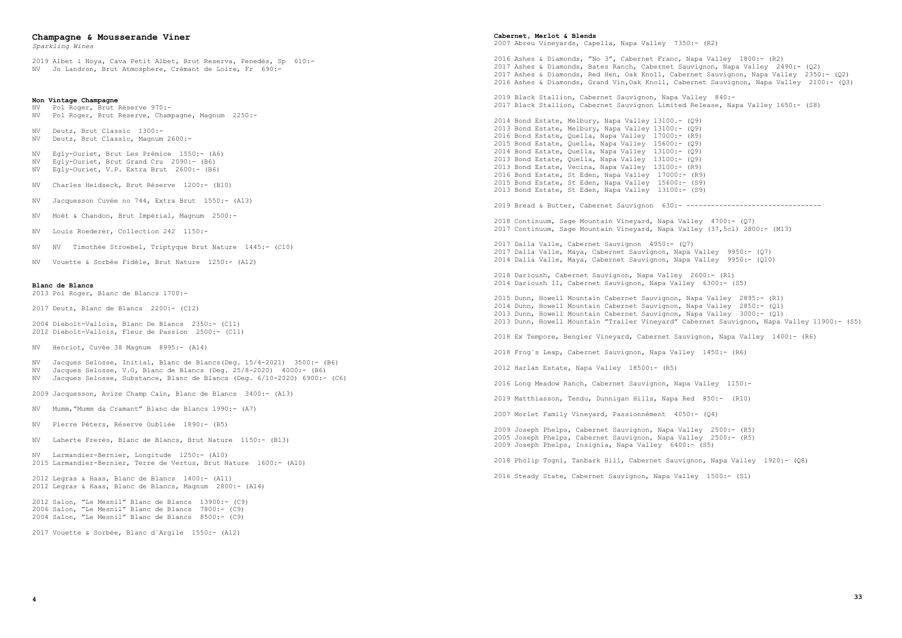# **Champagne & Mousserande Viner**

*Sparkling Wines*

2019 Albet i Noya, Cava Petit Albet, Brut Reserva, Penedès, Sp 610:- NV Jo Landron, Brut Atmosphere, Crémant de Loire, Fr 690:-

#### **Non Vintage Champagne**

- NV Pol Roger, Brut Réserve 970:- NV Pol Roger, Brut Reserve, Champagne, Magnum 2250:-
- NV Deutz, Brut Classic 1300:- NV Deutz, Brut Classic, Magnum 2600:-
- NV Egly-Ouriet, Brut Les Prémice 1550:- (A6)<br>NV Egly-Ouriet, Brut Grand Cru 2090:- (B6)  $Eqly-Ouriet,$  Brut Grand Cru 2090:- (B6) NV Egly-Ouriet, V.P. Extra Brut 2600:- (B6)
- NV Charles Heidseck, Brut Réserve 1200:- (B10)
- NV Jacquesson Cuvée no 744, Extra Brut 1550:- (A13)
- NV Moët & Chandon, Brut Impérial, Magnum 2500:-
- NV Louis Roederer, Collection 242 1150:-
- NV NV Timothée Stroebel, Triptyque Brut Nature 1445:- (C10)
- NV Vouette & Sorbée Fidéle, Brut Nature 1250:- (A12)

#### **Blanc de Blancs**

2013 Pol Roger, Blanc de Blancs 1700:-

2017 Deutz, Blanc de Blancs 2200:- (C12)

2004 Diebolt-Vallois, Blanc De Blancs 2350:- (C11) 2012 Diebolt-Vallois, Fleur de Passion 2500:- (C11)

NV Henriot, Cuvée 38 Magnum 8995:- (A14)

- NV Jacques Selosse, Initial, Blanc de Blancs(Deg. 15/4-2021) 3500:- (B6) NV Jacques Selosse, V.O, Blanc de Blancs (Deg. 25/8-2020) 4000:- (B6) NV Jacques Selosse, Substance, Blanc de Blancs (Deg. 6/10-2020) 6900:- (C6)
- 2009 Jacquesson, Avize Champ Caïn, Blanc de Blancs 3400:- (A13)
- NV Mumm,"Mumm da Cramant" Blanc de Blancs 1990:- (A7)
- NV Pierre Péters, Réserve Oubliée 1890:- (B5)
- NV Laherte Frerès, Blanc de Blancs, Brut Nature 1150:- (B13)
- NV Larmandier-Bernier, Longitude 1250:- (A10) 2015 Larmandier-Bernier, Terre de Vertus, Brut Nature 1600:- (A10)
- 2012 Legras & Haas, Blanc de Blancs 1400:- (A11) 2012 Legras & Haas, Blanc de Blancs, Magnum 2800:- (A14)

2012 Salon, "Le Mesnil" Blanc de Blancs 13900:- (C9) 2006 Salon, "Le Mesnil" Blanc de Blancs 7800:- (C9) 2004 Salon, "Le Mesnil" Blanc de Blancs 8500:- (C9)

2017 Vouette & Sorbée, Blanc d´Argile 1550:- (A12)

#### **Cabernet, Merlot & Blends**

2007 Abreu Vineyards, Capella, Napa Valley 7350:- (R2)

2016 Ashes & Diamonds, "No 3", Cabernet Franc, Napa Valley 1800:- (R2) 2017 Ashes & Diamonds, Bates Ranch, Cabernet Sauvignon, Napa Valley 2490:- (Q2) 2017 Ashes & Diamonds, Red Hen, Oak Knoll, Cabernet Sauvignon, Napa Valley 2350:- (Q2) 2016 Ashes & Diamonds, Grand Vin,Oak Knoll, Cabernet Sauvignon, Napa Valley 2100:- (Q3)

2019 Black Stallion, Cabernet Sauvignon, Napa Valley 840:- 2017 Black Stallion, Cabernet Sauvignon Limited Release, Napa Valley 1650:- (S8)

2014 Bond Estate, Melbury, Napa Valley 13100.- (Q9) 2013 Bond Estate, Melbury, Napa Valley 13100:- (Q9) 2016 Bond Estate, Quella, Napa Valley 17000:- (R9) 2015 Bond Estate, Quella, Napa Valley 15600:- (Q9) 2014 Bond Estate, Quella, Napa Valley 13100:- (Q9) 2013 Bond Estate, Quella, Napa Valley 13100:- (Q9) 2013 Bond Estate, Vecina, Napa Valley 13100:- (R9) 2016 Bond Estate, St Eden, Napa Valley 17000:- (R9) 2015 Bond Estate, St Eden, Napa Valley 15600:- (S9) 2013 Bond Estate, St Eden, Napa Valley 13100:- (S9)

2019 Bread & Butter, Cabernet Sauvignon 630:- ----------------------------------

2018 Continuum, Sage Mountain Vineyard, Napa Valley 4700:- (Q7) 2017 Continuum, Sage Mountain Vineyard, Napa Valley (37,5cl) 2800:- (M13)

2017 Dalla Valle, Cabernet Sauvignon 4950:- (Q7) 2017 Dalla Valle, Maya, Cabernet Sauvignon, Napa Valley 9950:- (Q7) 2014 Dalla Valle, Maya, Cabernet Sauvignon, Napa Valley 9950:- (Q10)

2018 Darioush, Cabernet Sauvignon, Napa Valley 2600:- (R1) 2014 Darioush II, Cabernet Sauvignon, Napa Valley 6300:- (S5)

2015 Dunn, Howell Mountain Cabernet Sauvignon, Napa Valley 2895:- (R1) 2014 Dunn, Howell Mountain Cabernet Sauvignon, Napa Valley 2850:- (Q1) 2013 Dunn, Howell Mountain Cabernet Sauvignon, Napa Valley 3000:- (Q1)

```
2013 Dunn, Howell Mountain "Trailer Vineyard" Cabernet Sauvignon, Napa Valley 11900:- (S5)
```
2018 Ex Tempore, Bengier Vineyard, Cabernet Sauvignon, Napa Valley 1400:- (R6)

2018 Frog´s Leap, Cabernet Sauvignon, Napa Valley 1450:- (R6)

2012 Harlan Estate, Napa Valley 18500:- (R5)

2016 Long Meadow Ranch, Cabernet Sauvignon, Napa Valley 1150:-

2019 Matthiasson, Tendu, Dunnigan Hills, Napa Red 850:- (R10)

2007 Morlet Family Vineyard, Passionnément 4050:- (Q4)

2009 Joseph Phelps, Cabernet Sauvignon, Napa Valley 2500:- (R5) 2005 Joseph Phelps, Cabernet Sauvignon, Napa Valley 2500:- (R5) 2009 Joseph Phelps, Insignia, Napa Valley 6400:- (S5)

2018 Pholip Togni, Tanbark Hill, Cabernet Sauvignon, Napa Valley 1920:- (Q8)

2016 Steady State, Cabernet Sauvignon, Napa Valley 1500:- (S1)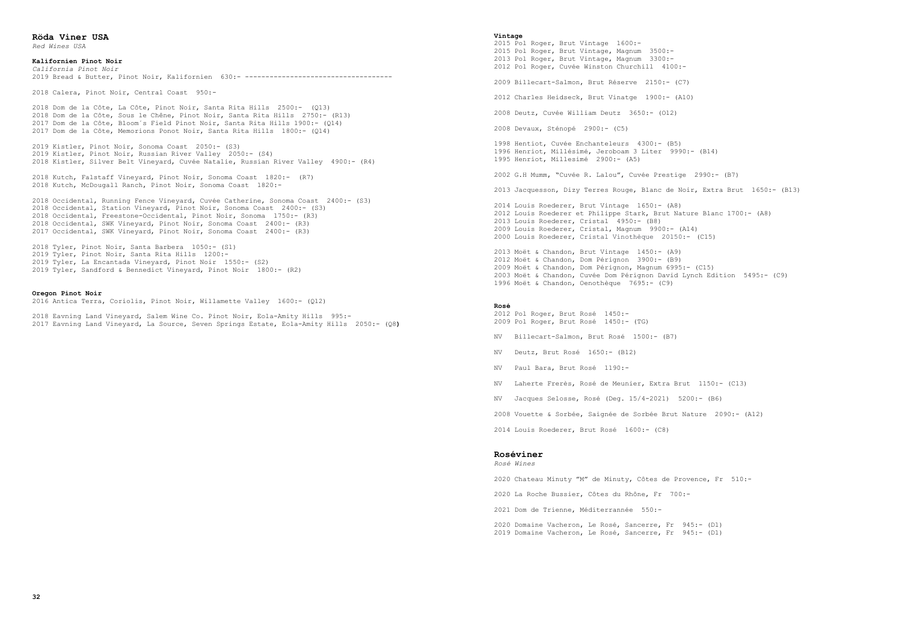**Röda Viner USA** *Red Wines USA*

# **Kalifornien Pinot Noir**

*California Pinot Noir* 2019 Bread & Butter, Pinot Noir, Kalifornien 630:- ------------------------------------

2018 Calera, Pinot Noir, Central Coast 950:-

 Dom de la Côte, La Côte, Pinot Noir, Santa Rita Hills 2500:- (Q13) Dom de la Côte, Sous le Chêne, Pinot Noir, Santa Rita Hills 2750:- (R13) Dom de la Côte, Bloom´s Field Pinot Noir, Santa Rita Hills 1900:- (Q14) Dom de la Côte, Memorions Ponot Noir, Santa Rita Hills 1800:- (Q14)

2019 Kistler, Pinot Noir, Sonoma Coast 2050:- (S3) 2019 Kistler, Pinot Noir, Russian River Valley 2050:- (S4) 2018 Kistler, Silver Belt Vineyard, Cuvée Natalie, Russian River Valley 4900:- (R4)

2018 Kutch, Falstaff Vineyard, Pinot Noir, Sonoma Coast 1820:- (R7) 2018 Kutch, McDougall Ranch, Pinot Noir, Sonoma Coast 1820:-

2018 Occidental, Running Fence Vineyard, Cuvée Catherine, Sonoma Coast 2400:- (S3) 2018 Occidental, Station Vineyard, Pinot Noir, Sonoma Coast 2400:- (S3) 2018 Occidental, Freestone-Occidental, Pinot Noir, Sonoma 1750:- (R3) 2018 Occidental, SWK Vineyard, Pinot Noir, Sonoma Coast 2400:- (R3) 2017 Occidental, SWK Vineyard, Pinot Noir, Sonoma Coast 2400:- (R3)

2018 Tyler, Pinot Noir, Santa Barbera 1050:- (S1) 2019 Tyler, Pinot Noir, Santa Rita Hills 1200:- 2019 Tyler, La Encantada Vineyard, Pinot Noir 1550:- (S2) 2019 Tyler, Sandford & Bennedict Vineyard, Pinot Noir 1800:- (R2)

# **Oregon Pinot Noir**

2016 Antica Terra, Coriolis, Pinot Noir, Willamette Valley 1600:- (Q12)

2018 Eavning Land Vineyard, Salem Wine Co. Pinot Noir, Eola-Amity Hills 995:- 2017 Eavning Land Vineyard, La Source, Seven Springs Estate, Eola-Amity Hills 2050:- (Q8**)**

#### **Vintage**

2015 Pol Roger, Brut Vintage 1600:- 2015 Pol Roger, Brut Vintage, Magnum 3500:- 2013 Pol Roger, Brut Vintage, Magnum 3300:- 2012 Pol Roger, Cuvée Winston Churchill 4100:- 2009 Billecart-Salmon, Brut Réserve 2150:- (C7) 2012 Charles Heidseck, Brut Vinatge 1900:- (A10) 2008 Deutz, Cuvée William Deutz 3650:- (O12) 2008 Devaux, Sténopé 2900:- (C5) 1998 Hentiot, Cuvée Enchanteleurs 4300:- (B5) 1996 Henriot, Millésimé, Jeroboam 3 Liter 9990:- (B14) 1995 Henriot, Millesimé 2900:- (A5) 2002 G.H Mumm, "Cuvée R. Lalou", Cuvée Prestige 2990:- (B7) 2013 Jacquesson, Dizy Terres Rouge, Blanc de Noir, Extra Brut 1650:- (B13) 2014 Louis Roederer, Brut Vintage 1650:- (A8) 2012 Louis Roederer et Philippe Stark, Brut Nature Blanc 1700:- (A8) 2013 Louis Roederer, Cristal 4950:- (B8) 2009 Louis Roederer, Cristal, Magnum 9900:- (A14) 2000 Louis Roederer, Cristal Vinothèque 20150:- (C15) 2013 Moët & Chandon, Brut Vintage 1450:- (A9) 2012 Moët & Chandon, Dom Pérignon 3900:- (B9) 2009 Moët & Chandon, Dom Pérignon, Magnum 6995:- (C15) 2003 Moët & Chandon, Cuvée Dom Pérignon David Lynch Edition 5495:- (C9) 1996 Moët & Chandon, Oenothèque 7695:- (C9) **Rosé** 2012 Pol Roger, Brut Rosé 1450:- 2009 Pol Roger, Brut Rosé 1450:- (TG) NV Billecart-Salmon, Brut Rosé 1500:- (B7)

NV Deutz, Brut Rosé 1650:- (B12)

NV Paul Bara, Brut Rosé 1190:-

NV Laherte Frerès, Rosé de Meunier, Extra Brut 1150:- (C13)

NV Jacques Selosse, Rosé (Deg. 15/4-2021) 5200:- (B6)

2008 Vouette & Sorbée, Saignée de Sorbée Brut Nature 2090:- (A12)

2014 Louis Roederer, Brut Rosé 1600:- (C8)

# **Roséviner**

*Rosé Wines*

2020 Chateau Minuty "M" de Minuty, Côtes de Provence, Fr 510:-

2020 La Roche Bussier, Côtes du Rhône, Fr 700:-

2021 Dom de Trienne, Méditerrannée 550:-

2020 Domaine Vacheron, Le Rosé, Sancerre, Fr 945:- (D1) 2019 Domaine Vacheron, Le Rosé, Sancerre, Fr 945:- (D1)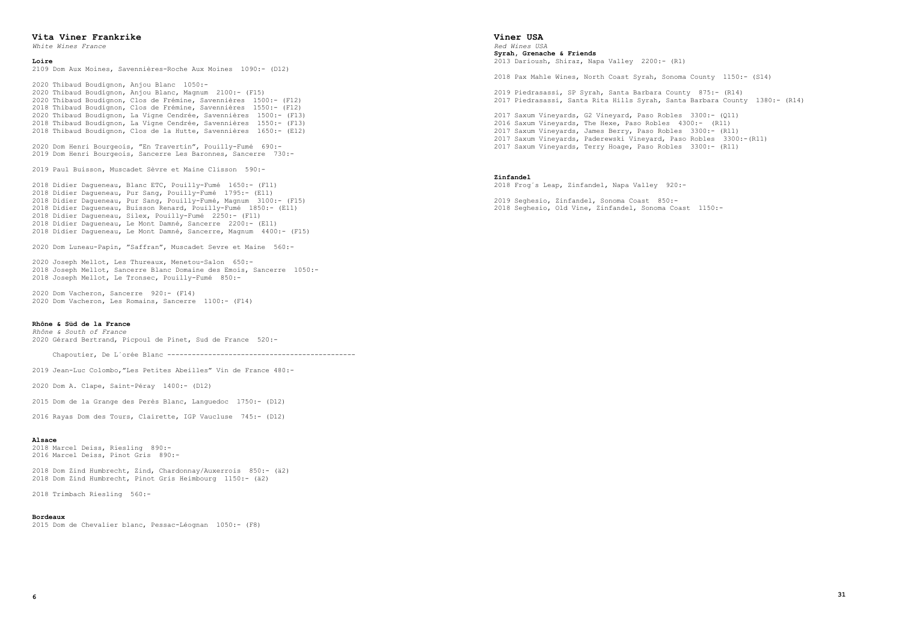#### **Vita Viner Frankrike**

*White Wines France*

# **Loire**

2109 Dom Aux Moines, Savennières-Roche Aux Moines 1090:- (D12)

 Thibaud Boudignon, Anjou Blanc 1050:- Thibaud Boudignon, Anjou Blanc, Magnum 2100:- (F15) Thibaud Boudignon, Clos de Frémine, Savennières 1500:- (F12) 2018 Thibaud Boudignon, Clos de Frémine, Savennières 1550:- (F12) Thibaud Boudignon, La Vigne Cendrée, Savennières 1500:- (F13) Thibaud Boudignon, La Vigne Cendrée, Savennières 1550:- (F13) 2018 Thibaud Boudignon, Clos de la Hutte, Savennières 1650:- (E12)

2020 Dom Henri Bourgeois, "En Travertin", Pouilly-Fumé 690:- 2019 Dom Henri Bourgeois, Sancerre Les Baronnes, Sancerre 730:-

2019 Paul Buisson, Muscadet Sèvre et Maine Clisson 590:-

2018 Didier Dagueneau, Blanc ETC, Pouilly-Fumé 1650:- (F11) 2018 Didier Dagueneau, Pur Sang, Pouilly-Fumé 1795:- (E11) 2018 Didier Dagueneau, Pur Sang, Pouilly-Fumé, Magnum 3100:- (F15) 2018 Didier Dagueneau, Buisson Renard, Pouilly-Fumé 1850:- (E11) 2018 Didier Dagueneau, Silex, Pouilly-Fumé 2250:- (F11) 2018 Didier Dagueneau, Le Mont Damné, Sancerre 2200:- (E11) 2018 Didier Dagueneau, Le Mont Damné, Sancerre, Magnum 4400:- (F15)

2020 Dom Luneau-Papin, "Saffran", Muscadet Sevre et Maine 560:-

2020 Joseph Mellot, Les Thureaux, Menetou-Salon 650:- 2018 Joseph Mellot, Sancerre Blanc Domaine des Emois, Sancerre 1050:- 2018 Joseph Mellot, Le Tronsec, Pouilly-Fumé 850:-

2020 Dom Vacheron, Sancerre 920:- (F14) 2020 Dom Vacheron, Les Romains, Sancerre 1100:- (F14)

# **Rhône & Süd de la France**

*Rhône & South of France* 2020 Gérard Bertrand, Picpoul de Pinet, Sud de France 520:-

Chapoutier, De L´orée Blanc ----------------------------------------------

2019 Jean-Luc Colombo,"Les Petites Abeilles" Vin de France 480:-

2020 Dom A. Clape, Saint-Péray 1400:- (D12)

2015 Dom de la Grange des Perès Blanc, Languedoc 1750:- (D12)

2016 Rayas Dom des Tours, Clairette, IGP Vaucluse 745:- (D12)

#### **Alsace**

2018 Marcel Deiss, Riesling 890:- 2016 Marcel Deiss, Pinot Gris 890:-

2018 Dom Zind Humbrecht, Zind, Chardonnay/Auxerrois 850:- (ä2) 2018 Dom Zind Humbrecht, Pinot Gris Heimbourg 1150:- (ä2)

2018 Trimbach Riesling 560:-

#### **Bordeaux**

2015 Dom de Chevalier blanc, Pessac-Léognan 1050:- (F8)

# **Viner USA**

*Red Wines USA* **Syrah, Grenache & Friends** 2013 Darioush, Shiraz, Napa Valley 2200:- (R1)

2018 Pax Mahle Wines, North Coast Syrah, Sonoma County 1150:- (S14)

2019 Piedrasassi, SP Syrah, Santa Barbara County 875:- (R14) 2017 Piedrasassi, Santa Rita Hills Syrah, Santa Barbara County 1380:- (R14)

2017 Saxum Vineyards, G2 Vineyard, Paso Robles 3300:- (Q11) 2016 Saxum Vineyards, The Hexe, Paso Robles 4300:- (R11) 2017 Saxum Vineyards, James Berry, Paso Robles 3300:- (R11) 2017 Saxum Vineyards, Paderewski Vineyard, Paso Robles 3300:-(R11)

2017 Saxum Vineyards, Terry Hoage, Paso Robles 3300:- (R11)

#### **Zinfandel**

2018 Frog´s Leap, Zinfandel, Napa Valley 920:-

2019 Seghesio, Zinfandel, Sonoma Coast 850:- 2018 Seghesio, Old Vine, Zinfandel, Sonoma Coast 1150:-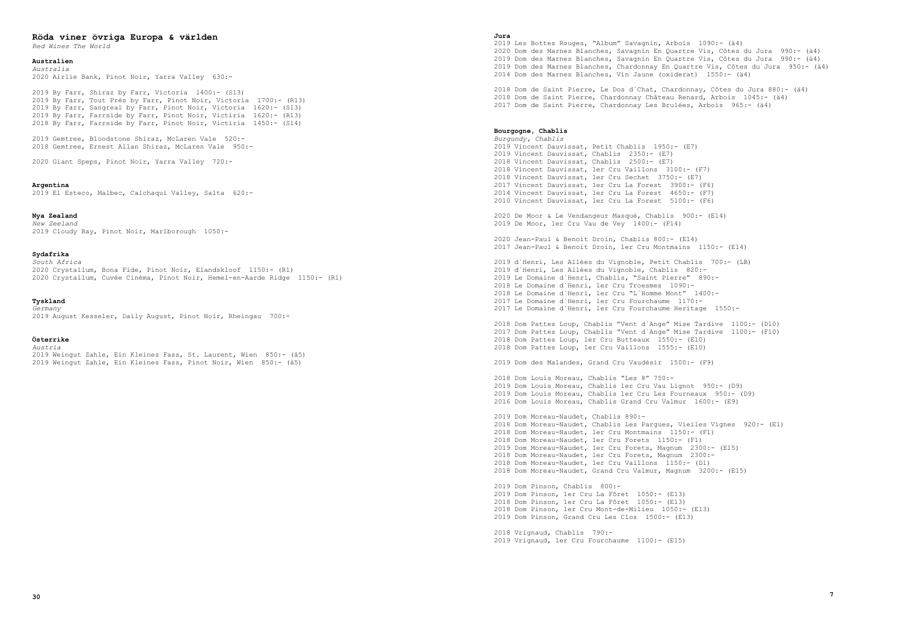# **Röda viner övriga Europa & världen**

*Red Wines The World*

#### **Australien**

*Australia* 2020 Airlie Bank, Pinot Noir, Yarra Valley 630:-

 By Farr, Shiraz by Farr, Victoria 1400:- (S13) By Farr, Tout Près by Farr, Pinot Noir, Victoria 1700:- (R13) By Farr, Sangreal by Farr, Pinot Noir, Victoria 1620:- (S13) By Farr, Farrside by Farr, Pinot Noir, Victiria 1620:- (R13) 2018 By Farr, Farrside by Farr, Pinot Noir, Victiria 1450:- (S14)

2019 Gemtree, Bloodstone Shiraz, McLaren Vale 520:- 2018 Gemtree, Ernest Allan Shiraz, McLaren Vale 950:-

2020 Giant Speps, Pinot Noir, Yarra Valley 720:-

#### **Argentina**

2019 El Esteco, Malbec, Calchaquí Valley, Salta 620:-

# **Nya Zealand**

*New Zeeland* 2019 Cloudy Bay, Pinot Noir, Marlborough 1050:-

#### **Sydafrika**

*South Africa* 2020 Crystallum, Bona Fide, Pinot Noir, Elandskloof 1150:- (R1) 2020 Crystallum, Cuvée Cinéma, Pinot Noir, Hemel-en-Aarde Ridge 1150:- (R1)

#### **Tyskland**

*Germany* 2019 August Kesseler, Daily August, Pinot Noir, Rheingau 700:-

# **Österrike**

*Austria*

2019 Weingut Zahle, Ein Kleines Fass, St. Laurent, Wien 850:- (å5) 2019 Weingut Zahle, Ein Kleines Fass, Pinot Noir, Wien 850:- (å5)

#### **Jura**

2019 Les Bottes Rouges, "Album" Savagnin, Arbois 1090:- (ä4) 2020 Dom des Marnes Blanches, Savagnin En Quartre Vis, Côtes du Jura 990:- (ä4) 2019 Dom des Marnes Blanches, Savagnin En Quartre Vis, Côtes du Jura 990:- (ä4) 2019 Dom des Marnes Blanches, Chardonnay En Quartre Vis, Côtes du Jura 950:- (ä4) 2014 Dom des Marnes Blanches, Vin Jaune (oxiderat) 1550:- (ä4)

2018 Dom de Saint Pierre, Le Dos d´Chat, Chardonnay, Côtes du Jura 880:- (ä4) 2018 Dom de Saint Pierre, Chardonnay Château Renard, Arbois 1045:- (ä4) 2017 Dom de Saint Pierre, Chardonnay Les Brulées, Arbois 965:- (ä4)

# **Bourgogne, Chablis**

*Burgundy, Chablis* 2019 Vincent Dauvissat, Petit Chablis 1950:- (E7) 2019 Vincent Dauvissat, Chablis 2350:- (E7) 2018 Vincent Dauvissat, Chablis 2500:- (E7) 2018 Vincent Dauvissat, 1er Cru Vaillons 3100:- (F7) 2018 Vincent Dauvissat, 1er Cru Sechet 3750:- (E7) 2017 Vincent Dauvissat, 1er Cru La Forest 3900:- (F6) 2014 Vincent Dauvissat, 1er Cru La Forest 4650:- (F7) 2010 Vincent Dauvissat, 1er Cru La Forest 5100:- (F6)

2020 De Moor & Le Vendangeur Masqué, Chablis 900:- (E14) 2019 De Moor, 1er Cru Vau de Vey 1400:- (F14)

2020 Jean-Paul & Benoit Droin, Chablis 800:- (E14) 2017 Jean-Paul & Benoit Droin, 1er Cru Montmains 1150:- (E14)

 d`Henri, Les Allées du Vignoble, Petit Chablis 700:- (LB) d`Henri, Les Allées du Vignoble, Chablis 820:- Le Domaine d`Henri, Chablis, "Saint Pierre" 890:- Le Domaine d`Henri, 1er Cru Troesmes 1090:- Le Domaine d`Henri, 1er Cru "L´Homme Mont" 1400:- Le Domaine d`Henri, 1er Cru Fourchaume 1170:- Le Domaine d`Henri, 1er Cru Fourchaume Heritage 1550:-

2018 Dom Pattes Loup, Chablis "Vent d´Ange" Mise Tardive 1100:- (D10) 2017 Dom Pattes Loup, Chablis "Vent d´Ange" Mise Tardive 1100:- (F10) 2018 Dom Pattes Loup, 1er Cru Butteaux 1550:- (E10) 2018 Dom Pattes Loup, 1er Cru Vaillons 1555:- (E10)

2019 Dom des Malandes, Grand Cru Vaudésir 1500:- (F9)

2018 Dom Louis Moreau, Chablis "Les 8" 750:- Dom Louis Moreau, Chablis 1er Cru Vau Lignot 950:- (D9) Dom Louis Moreau, Chablis 1er Cru Les Fourneaux 950:- (D9) Dom Louis Moreau, Chablis Grand Cru Valmur 1600:- (E9)

2019 Dom Moreau-Naudet, Chablis 890:- 2018 Dom Moreau-Naudet, Chablis Les Pargues, Vieiles Vignes 920:- (E1) 2018 Dom Moreau-Naudet, 1er Cru Montmains 1150:- (F1) 2018 Dom Moreau-Naudet, 1er Cru Forets 1150:- (F1) 2019 Dom Moreau-Naudet, 1er Cru Forets, Magnum 2300:- (E15) 2018 Dom Moreau-Naudet, 1er Cru Forets, Magnum 2300:- 2018 Dom Moreau-Naudet, 1er Cru Vaillons 1150:- (D1) 2018 Dom Moreau-Naudet, Grand Cru Valmur, Magnum 3200:- (E15)

2019 Dom Pinson, Chablis 800:- 2019 Dom Pinson, 1er Cru La Fôret 1050:- (E13) 2018 Dom Pinson, 1er Cru La Fôret 1050:- (E13) 2018 Dom Pinson, 1er Cru Mont-de-Milieu 1050:- (E13) 2019 Dom Pinson, Grand Cru Les Clos 1500:- (E13)

2018 Vrignaud, Chablis 790:- 2019 Vrignaud, 1er Cru Fourchaume 1100:- (E15)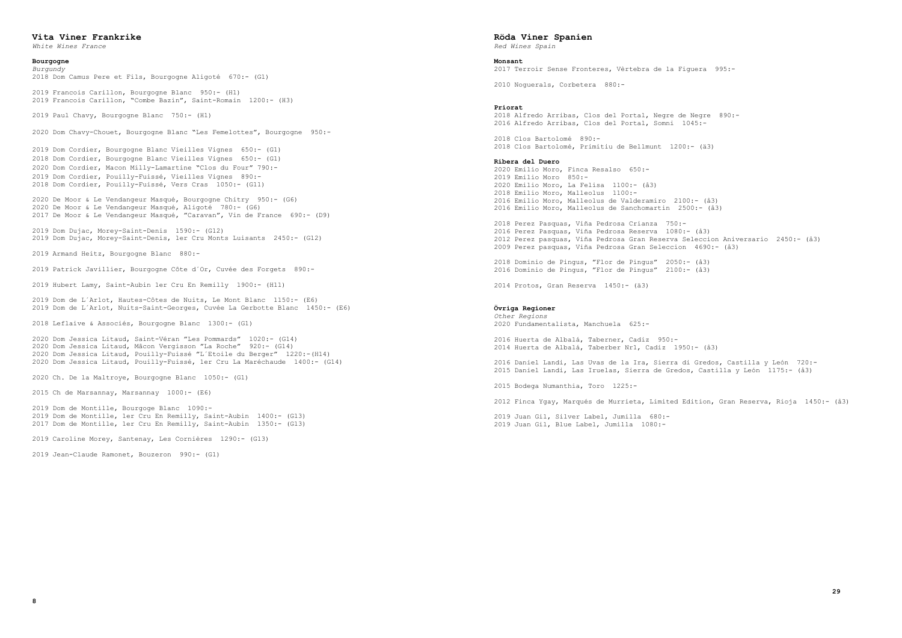# **Vita Viner Frankrike**

*White Wines France*

#### **Bourgogne**

*Burgundy* 2018 Dom Camus Pere et Fils, Bourgogne Aligoté 670:- (G1)

2019 Francois Carillon, Bourgogne Blanc 950:- (H1) 2019 Francois Carillon, "Combe Bazin", Saint-Romain 1200:- (H3)

2019 Paul Chavy, Bourgogne Blanc 750:- (H1)

2020 Dom Chavy-Chouet, Bourgogne Blanc "Les Femelottes", Bourgogne 950:-

 Dom Cordier, Bourgogne Blanc Vieilles Vignes 650:- (G1) Dom Cordier, Bourgogne Blanc Vieilles Vignes 650:- (G1) Dom Cordier, Macon Milly-Lamartine "Clos du Four" 790:- 2019 Dom Cordier, Pouilly-Fuissé, Vieilles Vignes 890:- Dom Cordier, Pouilly-Fuissé, Vers Cras 1050:- (G11)

2020 De Moor & Le Vendangeur Masqué, Bourgogne Chitry 950:- (G6) 2020 De Moor & Le Vendangeur Masqué, Aligoté 780:- (G6) 2017 De Moor & Le Vendangeur Masqué, "Caravan", Vin de France 690:- (D9)

2019 Dom Dujac, Morey-Saint-Denis 1590:- (G12) 2019 Dom Dujac, Morey-Saint-Denis, 1er Cru Monts Luisants 2450:- (G12)

2019 Armand Heitz, Bourgogne Blanc 880:-

2019 Patrick Javillier, Bourgogne Côte d´Or, Cuvée des Forgets 890:-

2019 Hubert Lamy, Saint-Aubin 1er Cru En Remilly 1900:- (H11)

2019 Dom de L´Arlot, Hautes-Côtes de Nuits, Le Mont Blanc 1150:- (E6) 2019 Dom de L´Arlot, Nuits-Saint-Georges, Cuvée La Gerbotte Blanc 1450:- (E6)

2018 Leflaive & Associés, Bourgogne Blanc 1300:- (G1)

2020 Dom Jessica Litaud, Saint-Véran "Les Pommards" 1020:- (G14) 2020 Dom Jessica Litaud, Mâcon Vergisson "La Roche" 920:- (G14) 2020 Dom Jessica Litaud, Pouilly-Fuissé "L´Etoile du Berger" 1220:-(H14) 2020 Dom Jessica Litaud, Pouilly-Fuissé, 1er Cru La Maréchaude 1400:- (G14)

2020 Ch. De la Maltroye, Bourgogne Blanc 1050:- (G1)

2015 Ch de Marsannay, Marsannay 1000:- (E6)

2019 Dom de Montille, Bourgoge Blanc 1090:- 2019 Dom de Montille, 1er Cru En Remilly, Saint-Aubin 1400:- (G13) 2017 Dom de Montille, 1er Cru En Remilly, Saint-Aubin 1350:- (G13)

2019 Caroline Morey, Santenay, Les Cornières 1290:- (G13)

2019 Jean-Claude Ramonet, Bouzeron 990:- (G1)

# **Röda Viner Spanien**

*Red Wines Spain*

# **Monsant**

2017 Terroir Sense Fronteres, Vèrtebra de la Figuera 995:- 2010 Noguerals, Corbetera 880:- **Priorat** 2018 Alfredo Arribas, Clos del Portal, Negre de Negre 890:- 2016 Alfredo Arribas, Clos del Portal, Somni 1045:- 2018 Clos Bartolomé 890:- 2018 Clos Bartolomé, Primitiu de Bellmunt 1200:- (ä3) **Ribera del Duero** 2020 Emilio Moro, Finca Resalso 650:- 2019 Emilio Moro 850:- 2020 Emilio Moro, La Felisa 1100:- (å3) 2018 Emilio Moro, Malleolus 1100:- 2016 Emilio Moro, Malleolus de Valderamiro 2100:- (å3) 2016 Emilio Moro, Malleolus de Sanchomartin 2500:- (å3) 2018 Perez Pasquas, Viña Pedrosa Crianza 750:- 2016 Perez Pasquas, Viña Pedrosa Reserva 1080:- (å3) 2012 Perez pasquas, Viña Pedrosa Gran Reserva Seleccion Aniversario 2450:- (å3) 2009 Perez pasquas, Viña Pedrosa Gran Seleccion 4690:- (å3) 2018 Dominio de Pingus, "Flor de Pingus" 2050:- (å3) 2016 Dominio de Pingus, "Flor de Pingus" 2100:- (å3) 2014 Protos, Gran Reserva 1450:- (ä3)

# **Övriga Regioner**

*Other Regions* 2020 Fundamentalista, Manchuela 625:-

2016 Huerta de Albalá, Taberner, Cadiz 950:- 2014 Huerta de Albalá, Taberber Nr1, Cadiz 1950:- (å3)

2016 Daniel Landi, Las Uvas de la Ira, Sierra di Gredos, Castilla y León 720:- 2015 Daniel Landi, Las Iruelas, Sierra de Gredos, Castilla y León 1175:- (å3)

2015 Bodega Numanthia, Toro 1225:-

2012 Finca Ygay, Marqués de Murrieta, Limited Edition, Gran Reserva, Rioja 1450:- (å3)

2019 Juan Gil, Silver Label, Jumilla 680:- 2019 Juan Gil, Blue Label, Jumilla 1080:-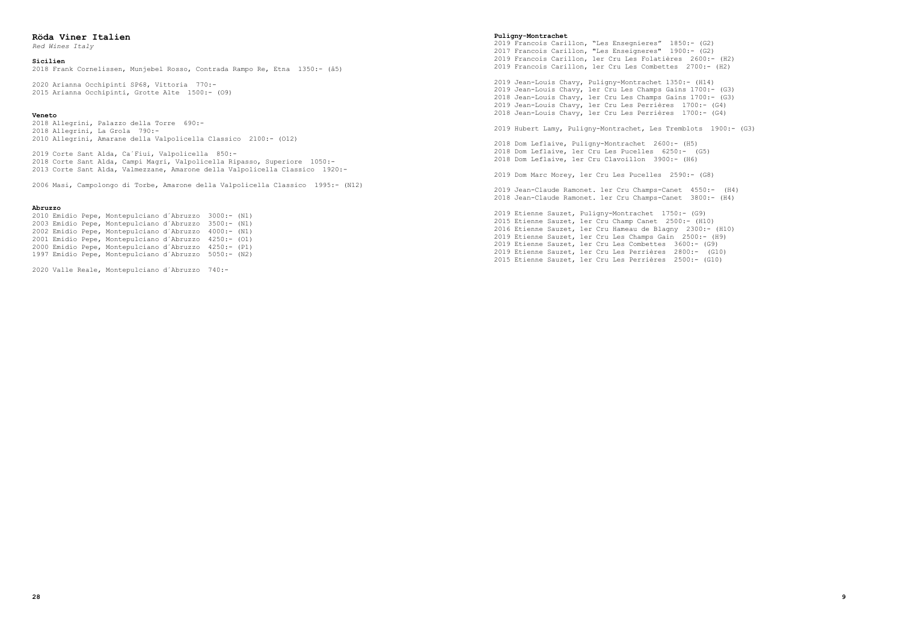# **Röda Viner Italien**

*Red Wines Italy*

# **Sicilien**

2018 Frank Cornelissen, Munjebel Rosso, Contrada Rampo Re, Etna 1350:- (å5)

2020 Arianna Occhipinti SP68, Vittoria 770:- 2015 Arianna Occhipinti, Grotte Alte 1500:- (O9)

#### **Veneto**

2018 Allegrini, Palazzo della Torre 690:- 2018 Allegrini, La Grola 790:- 2010 Allegrini, Amarane della Valpolicella Classico 2100:- (O12)

2019 Corte Sant Alda, Ca´Fiui, Valpolicella 850:- 2018 Corte Sant Alda, Campi Magri, Valpolicella Ripasso, Superiore 1050:- 2013 Corte Sant Alda, Valmezzane, Amarone della Valpolicella Classico 1920:-

2006 Masi, Campolongo di Torbe, Amarone della Valpolicella Classico 1995:- (N12)

#### **Abruzzo**

 Emidio Pepe, Montepulciano d´Abruzzo 3000:- (N1) Emidio Pepe, Montepulciano d´Abruzzo 3500:- (N1) Emidio Pepe, Montepulciano d´Abruzzo 4000:- (N1) Emidio Pepe, Montepulciano d´Abruzzo 4250:- (O1) Emidio Pepe, Montepulciano d´Abruzzo 4250:- (P1) Emidio Pepe, Montepulciano d´Abruzzo 5050:- (N2)

2020 Valle Reale, Montepulciano d´Abruzzo 740:-

#### **Puligny-Montrachet**

2019 Francois Carillon, "Les Ensegnieres" 1850:- (G2) 2017 Francois Carillon, "Les Enseigneres" 1900:- (G2) 2019 Francois Carillon, 1er Cru Les Folatières 2600:- (H2) 2019 Francois Carillon, 1er Cru Les Combettes 2700:- (H2)

2019 Jean-Louis Chavy, Puligny-Montrachet 1350:- (H14) Jean-Louis Chavy, 1er Cru Les Champs Gains 1700:- (G3) Jean-Louis Chavy, 1er Cru Les Champs Gains 1700:- (G3) Jean-Louis Chavy, 1er Cru Les Perrières 1700:- (G4) Jean-Louis Chavy, 1er Cru Les Perrières 1700:- (G4)

2019 Hubert Lamy, Puligny-Montrachet, Les Tremblots 1900:- (G3)

2018 Dom Leflaive, Puligny-Montrachet 2600:- (H5) 2018 Dom Leflaive, 1er Cru Les Pucelles 6250:- (G5) 2018 Dom Leflaive, 1er Cru Clavoillon 3900:- (H6)

2019 Dom Marc Morey, 1er Cru Les Pucelles 2590:- (G8)

2019 Jean-Claude Ramonet. 1er Cru Champs-Canet 4550:- (H4) 2018 Jean-Claude Ramonet. 1er Cru Champs-Canet 3800:- (H4)

2019 Etienne Sauzet, Puligny-Montrachet 1750:- (G9) 2015 Etienne Sauzet, 1er Cru Champ Canet 2500:- (H10) 2016 Etienne Sauzet, 1er Cru Hameau de Blagny 2300:- (H10) 2019 Etienne Sauzet, 1er Cru Les Champs Gain 2500:- (H9) 2019 Etienne Sauzet, 1er Cru Les Combettes 3600:- (G9) 2019 Etienne Sauzet, 1er Cru Les Perrières 2800:- (G10) 2015 Etienne Sauzet, 1er Cru Les Perrières 2500:- (G10)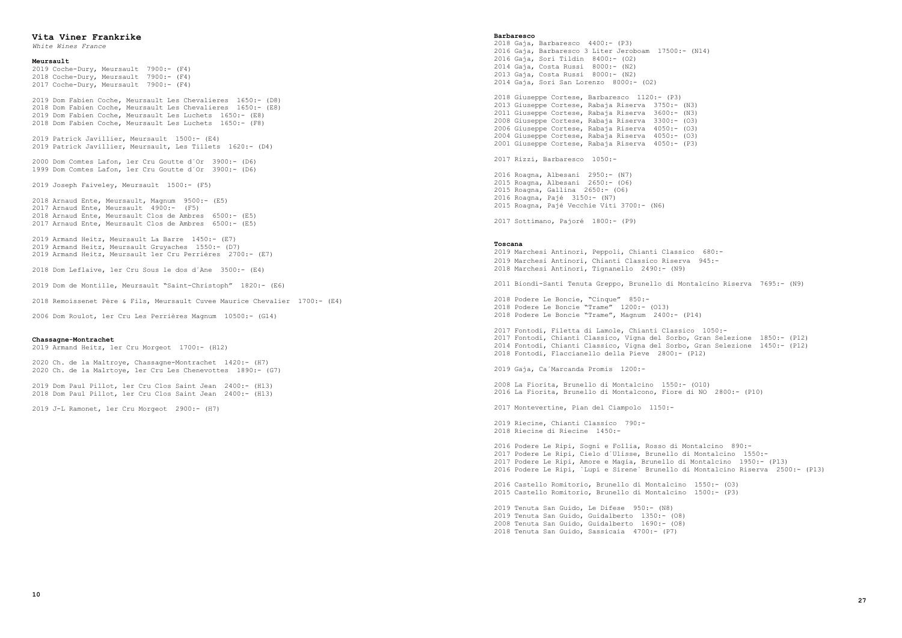# **Vita Viner Frankrike**

*White Wines France*

# **Meursault**

2019 Coche-Dury, Meursault 7900:- (F4) 2018 Coche-Dury, Meursault 7900:- (F4) 2017 Coche-Dury, Meursault 7900:- (F4)

2019 Dom Fabien Coche, Meursault Les Chevalieres 1650:- (D8) 2018 Dom Fabien Coche, Meursault Les Chevalieres 1650:- (E8) 2019 Dom Fabien Coche, Meursault Les Luchets 1650:- (E8) 2018 Dom Fabien Coche, Meursault Les Luchets 1650:- (F8)

2019 Patrick Javillier, Meursault 1500:- (E4) 2019 Patrick Javillier, Meursault, Les Tillets 1620:- (D4)

2000 Dom Comtes Lafon, 1er Cru Goutte d´Or 3900:- (D6) 1999 Dom Comtes Lafon, 1er Cru Goutte d´Or 3900:- (D6)

2019 Joseph Faiveley, Meursault 1500:- (F5)

2018 Arnaud Ente, Meursault, Magnum 9500:- (E5) 2017 Arnaud Ente, Meursault 4900:- (F5) 2018 Arnaud Ente, Meursault Clos de Ambres 6500:- (E5) 2017 Arnaud Ente, Meursault Clos de Ambres 6500:- (E5)

2019 Armand Heitz, Meursault La Barre 1450:- (E7) 2019 Armand Heitz, Meursault Gruyaches 1550:- (D7) 2019 Armand Heitz, Meursault 1er Cru Perrières 2700:- (E7)

2018 Dom Leflaive, 1er Cru Sous le dos d´Ane 3500:- (E4)

2019 Dom de Montille, Meursault "Saint-Christoph" 1820:- (E6)

2018 Remoissenet Père & Fils, Meursault Cuvee Maurice Chevalier 1700:- (E4)

2006 Dom Roulot, 1er Cru Les Perrières Magnum 10500:- (G14)

#### **Chassagne-Montrachet**

2019 Armand Heitz, 1er Cru Morgeot 1700:- (H12)

2020 Ch. de la Maltroye, Chassagne-Montrachet 1420:- (H7) 2020 Ch. de la Malrtoye, 1er Cru Les Chenevottes 1890:- (G7)

2019 Dom Paul Pillot, 1er Cru Clos Saint Jean 2400:- (H13) 2018 Dom Paul Pillot, 1er Cru Clos Saint Jean 2400:- (H13)

2019 J-L Ramonet, 1er Cru Morgeot 2900:- (H7)

#### **Barbaresco**

2018 Gaja, Barbaresco 4400:- (P3) 2016 Gaja, Barbaresco 3 Liter Jeroboam 17500:- (N14) 2016 Gaja, Sori Tildin 8400:- (O2) 2014 Gaja, Costa Russi 8000:- (N2) 2013 Gaja, Costa Russi 8000:- (N2) 2014 Gaja, Sori San Lorenzo 8000:- (O2)

2018 Giuseppe Cortese, Barbaresco 1120:- (P3) 2013 Giuseppe Cortese, Rabaja Riserva 3750:- (N3) 2011 Giuseppe Cortese, Rabaja Riserva 3600:- (N3) 2008 Giuseppe Cortese, Rabaja Riserva 3300:- (O3) 2006 Giuseppe Cortese, Rabaja Riserva 4050:- (O3) 2004 Giuseppe Cortese, Rabaja Riserva 4050:- (O3) 2001 Giuseppe Cortese, Rabaja Riserva 4050:- (P3)

2017 Rizzi, Barbaresco 1050:-

 Roagna, Albesani 2950:- (N7) Roagna, Albesani 2650:- (O6) Roagna, Gallina 2650:- (O6) Roagna, Pajé 3150:- (N7) Roagna, Pajé Vecchie Viti 3700:- (N6)

2017 Sottimano, Pajoré 1800:- (P9)

# **Toscana**

2019 Marchesi Antinori, Peppoli, Chianti Classico 680:- 2019 Marchesi Antinori, Chianti Classico Riserva 945:- 2018 Marchesi Antinori, Tignanello 2490:- (N9)

2011 Biondi-Santi Tenuta Greppo, Brunello di Montalcino Riserva 7695:- (N9)

2018 Podere Le Boncie, "Cinque" 850:- 2018 Podere Le Boncie "Trame" 1200:- (O13) 2018 Podere Le Boncie "Trame", Magnum 2400:- (P14)

2017 Fontodi, Filetta di Lamole, Chianti Classico 1050:- 2017 Fontodi, Chianti Classico, Vigna del Sorbo, Gran Selezione 1850:- (P12) 2014 Fontodi, Chianti Classico, Vigna del Sorbo, Gran Selezione 1450:- (P12) 2018 Fontodi, Flaccianello della Pieve 2800:- (P12)

2019 Gaja, Ca´Marcanda Promis 1200:-

2008 La Fiorita, Brunello di Montalcino 1550:- (O10) 2016 La Fiorita, Brunello di Montalcono, Fiore di NO 2800:- (P10)

2017 Montevertine, Pian del Ciampolo 1150:-

2019 Riecine, Chianti Classico 790:- 2018 Riecine di Riecine 1450:-

2016 Podere Le Ripi, Sogni e Follia, Rosso di Montalcino 890:- 2017 Podere Le Ripi, Cielo d´Ulisse, Brunello di Montalcino 1550:- 2017 Podere Le Ripi, Amore e Magia, Brunello di Montalcino 1950:- (P13) 2016 Podere Le Ripi, `Lupi e Sirene` Brunello di Montalcino Riserva 2500:- (P13)

2016 Castello Romitorio, Brunello di Montalcino 1550:- (O3) 2015 Castello Romitorio, Brunello di Montalcino 1500:- (P3)

2019 Tenuta San Guido, Le Difese 950:- (N8) 2019 Tenuta San Guido, Guidalberto 1350:- (O8) 2008 Tenuta San Guido, Guidalberto 1690:- (O8) 2018 Tenuta San Guido, Sassicaia 4700:- (P7)

```
 27
```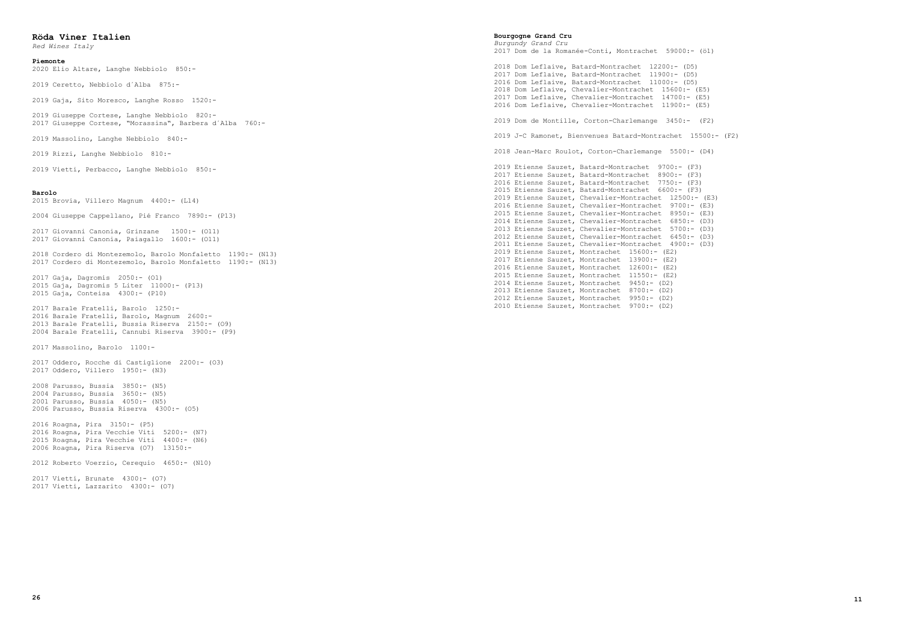# **Röda Viner Italien**

*Red Wines Italy*

#### **Piemonte**

2020 Elio Altare, Langhe Nebbiolo 850:-

2019 Ceretto, Nebbiolo d´Alba 875:-

2019 Gaja, Sito Moresco, Langhe Rosso 1520:-

2019 Giuseppe Cortese, Langhe Nebbiolo 820:- 2017 Giuseppe Cortese, "Morassina", Barbera d´Alba 760:-

2019 Massolino, Langhe Nebbiolo 840:-

2019 Rizzi, Langhe Nebbiolo 810:-

2019 Vietti, Perbacco, Langhe Nebbiolo 850:-

#### **Barolo**

2015 Brovia, Villero Magnum 4400:- (L14)

2004 Giuseppe Cappellano, Pié Franco 7890:- (P13)

2017 Giovanni Canonia, Grinzane 1500:- (O11) 2017 Giovanni Canonia, Paiagallo 1600:- (O11)

2018 Cordero di Montezemolo, Barolo Monfaletto 1190:- (N13) 2017 Cordero di Montezemolo, Barolo Monfaletto 1190:- (N13)

2017 Gaja, Dagromis 2050:- (O1) 2015 Gaja, Dagromis 5 Liter 11000:- (P13) 2015 Gaja, Conteisa 4300:- (P10)

 Barale Fratelli, Barolo 1250:- Barale Fratelli, Barolo, Magnum 2600:- Barale Fratelli, Bussia Riserva 2150:- (O9) Barale Fratelli, Cannubi Riserva 3900:- (P9)

2017 Massolino, Barolo 1100:-

2017 Oddero, Rocche di Castiglione 2200:- (O3) 2017 Oddero, Villero 1950:- (N3)

2008 Parusso, Bussia 3850:- (N5) 2004 Parusso, Bussia 3650:- (N5) 2001 Parusso, Bussia 4050:- (N5) 2006 Parusso, Bussia Riserva 4300:- (O5)

2016 Roagna, Pira 3150:- (P5) 2016 Roagna, Pira Vecchie Viti 5200:- (N7) 2015 Roagna, Pira Vecchie Viti 4400:- (N6) 2006 Roagna, Pira Riserva (O7) 13150:- 2012 Roberto Voerzio, Cerequio 4650:- (N10) 2017 Vietti, Brunate 4300:- (O7) 2017 Vietti, Lazzarito 4300:- (O7)

```
- (F3)
: - (F3): - (F3)- (F3)
2500:- (E3)00:- (E3)950 := (E3)30:- (D3)700:- (D3)150:- (D3)
```
**Bourgogne Grand Cru**

*Burgundy Grand Cru* 2017 Dom de la Romanée-Conti, Montrachet 59000:- (ö1)

 Dom Leflaive, Batard-Montrachet 12200:- (D5) Dom Leflaive, Batard-Montrachet 11900:- (D5) 2016 Dom Leflaive, Batard-Montrachet 11000:- (D5) Dom Leflaive, Chevalier-Montrachet 15600:- (E5) Dom Leflaive, Chevalier-Montrachet 14700:- (E5) 2016 Dom Leflaive, Chevalier-Montrachet 11900:- (E5)

2019 Dom de Montille, Corton-Charlemange 3450:- (F2)

2019 J-C Ramonet, Bienvenues Batard-Montrachet 15500:- (F2)

2018 Jean-Marc Roulot, Corton-Charlemange 5500:- (D4)

|  |  | 2019 Etienne Sauzet, Batard-Montrachet 9700:- (F3)    |  |  |  |
|--|--|-------------------------------------------------------|--|--|--|
|  |  | 2017 Etienne Sauzet, Batard-Montrachet 8900:- (F3)    |  |  |  |
|  |  | 2016 Etienne Sauzet, Batard-Montrachet 7750:- (F3)    |  |  |  |
|  |  | 2015 Etienne Sauzet, Batard-Montrachet 6600:- (F3)    |  |  |  |
|  |  | 2019 Etienne Sauzet, Chevalier-Montrachet 12500:- (E3 |  |  |  |
|  |  | 2016 Etienne Sauzet, Chevalier-Montrachet 9700:- (E3) |  |  |  |
|  |  | 2015 Etienne Sauzet, Chevalier-Montrachet 8950:- (E3) |  |  |  |
|  |  | 2014 Etienne Sauzet, Chevalier-Montrachet 6850:- (D3) |  |  |  |
|  |  | 2013 Etienne Sauzet, Chevalier-Montrachet 5700:- (D3) |  |  |  |
|  |  | 2012 Etienne Sauzet, Chevalier-Montrachet 6450:- (D3) |  |  |  |
|  |  | 2011 Etienne Sauzet, Chevalier-Montrachet 4900:- (D3) |  |  |  |
|  |  | 2019 Etienne Sauzet, Montrachet 15600:- (E2)          |  |  |  |
|  |  | 2017 Etienne Sauzet, Montrachet 13900:- (E2)          |  |  |  |
|  |  | 2016 Etienne Sauzet, Montrachet 12600:- (E2)          |  |  |  |
|  |  | 2015 Etienne Sauzet, Montrachet 11550:- (E2)          |  |  |  |
|  |  | 2014 Etienne Sauzet, Montrachet 9450:- (D2)           |  |  |  |
|  |  | 2013 Etienne Sauzet, Montrachet 8700:- (D2)           |  |  |  |
|  |  | 2012 Etienne Sauzet, Montrachet 9950:- (D2)           |  |  |  |
|  |  | 2010 Etienne Sauzet, Montrachet 9700:- (D2)           |  |  |  |
|  |  |                                                       |  |  |  |

 **11**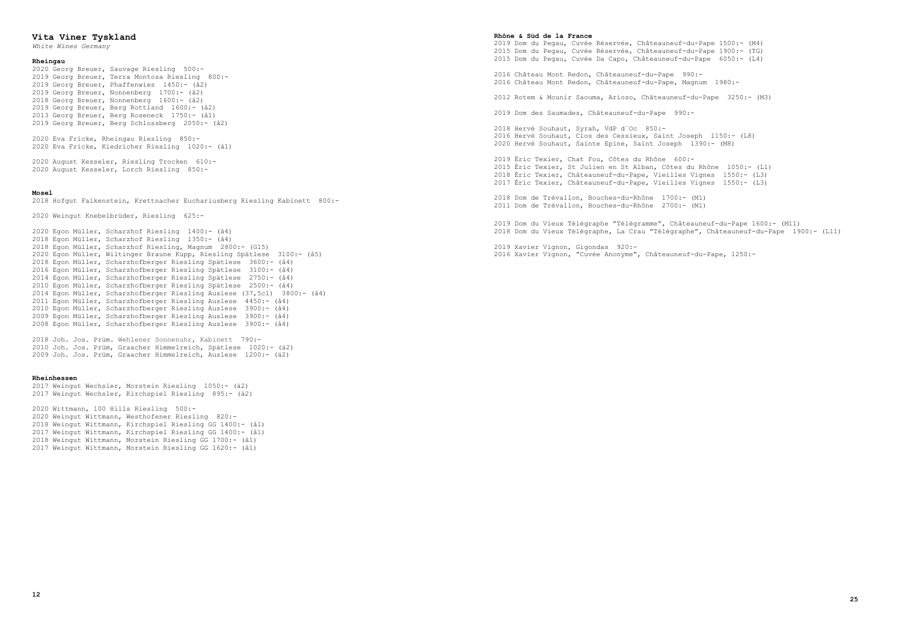# **Vita Viner Tyskland**

*White Wines Germany*

#### **Rheingau**

2020 Georg Breuer, Sauvage Riesling 500:- 2019 Georg Breuer, Terra Montosa Riesling 800:- 2019 Georg Breuer, Phaffenwies 1450:- (å2) 2019 Georg Breuer, Nonnenberg 1700:- (å2) 2018 Georg Breuer, Nonnenberg 1600:- (å2) 2019 Georg Breuer, Berg Rottland 1600:- (å2) 2013 Georg Breuer, Berg Roseneck 1750:- (å1) 2019 Georg Breuer, Berg Schlossberg 2050:- (å2)

2020 Eva Fricke, Rheingau Riesling 850:- 2020 Eva Fricke, Kiedricher Riesling 1020:- (å1)

2020 August Kesseler, Riesling Trocken 610:- 2020 August Kesseler, Lorch Riesling 850:-

#### **Mosel**

2018 Hofgut Falkenstein, Krettnacher Euchariusberg Riesling Kabinett 800:-

2020 Weingut Knebelbrüder, Riesling 625:-

2020 Egon Müller, Scharzhof Riesling 1400:- (å4) 2018 Egon Müller, Scharzhof Riesling 1350:- (å4) 2018 Egon Müller, Scharzhof Riesling, Magnum 2800:- (G15) 2020 Egon Müller, Wiltinger Braune Kupp, Riesling Spätlese 3100:- (å5) 2018 Egon Müller, Scharzhofberger Riesling Spätlese 3600:- (å4) 2016 Egon Müller, Scharzhofberger Riesling Spätlese 3100:- (å4) 2014 Egon Müller, Scharzhofberger Riesling Spätlese 2750:- (å4) 2010 Egon Müller, Scharzhofberger Riesling Spätlese 2500:- (å4) 2014 Egon Müller, Scharzhofberger Riesling Auslese (37,5cl) 3800:- (å4) 2011 Egon Müller, Scharzhofberger Riesling Auslese 4450:- (å4) 2010 Egon Müller, Scharzhofberger Riesling Auslese 3900:- (å4) 2009 Egon Müller, Scharzhofberger Riesling Auslese 3900:- (å4) 2008 Egon Müller, Scharzhofberger Riesling Auslese 3900:- (å4)

2018 Joh. Jos. Prüm. Wehlener Sonnenuhr, Kabinett 790:- 2010 Joh. Jos. Prüm, Graacher Himmelreich, Spätlese 1020:- (ä2) 2009 Joh. Jos. Prüm, Graacher Himmelreich, Auslese 1200:- (ä2)

#### **Rheinhessen**

2017 Weingut Wechsler, Morstein Riesling 1050:- (ä2) 2017 Weingut Wechsler, Kirchspiel Riesling 895:- (ä2)

2020 Wittmann, 100 Hills Riesling 500:- 2020 Weingut Wittmann, Westhofener Riesling 820:- 2018 Weingut Wittmann, Kirchspiel Riesling GG 1400:- (å1) 2017 Weingut Wittmann, Kirchspiel Riesling GG 1400:- (å1) 2018 Weingut Wittmann, Morstein Riesling GG 1700:- (å1) 2017 Weingut Wittmann, Morstein Riesling GG 1620:- (å1)

#### **Rhône & Süd de la France**

2019 Dom du Pegau, Cuvée Réservée, Châteauneuf-du-Pape 1500:- (M4) 2015 Dom du Pegau, Cuvée Réservée, Châteauneuf-du-Pape 1900:- (TG) 2015 Dom du Pegau, Cuvée Da Capo, Châteauneuf-du-Pape 6050:- (L4)

2016 Château Mont Redon, Châteauneuf-du-Pape 990:- 2016 Château Mont Redon, Châteauneuf-du-Pape, Magnum 1980:-

2012 Rotem & Mounir Saouma, Arioso, Châteauneuf-du-Pape 3250:- (M3)

2019 Dom des Saumades, Châteauneuf-du-Pape 990:-

2018 Hervé Souhaut, Syrah, VdP d´Oc 850:- 2016 Hervé Souhaut, Clos des Cessieux, Saint Joseph 1150:- (L8) 2020 Hervé Souhaut, Sainte Epine, Saint Joseph 1390:- (M8)

 Éric Texier, Chat Fou, Côtes du Rhône 600:- Éric Texier, St Julien en St Alban, Côtes du Rhône 1050:- (L1) 2018 Éric Texier, Châteauneuf-du-Pape, Vieilles Vignes 1550:- (L3) Éric Texier, Châteauneuf-du-Pape, Vieilles Vignes 1550:- (L3)

2018 Dom de Trévallon, Bouches-du-Rhône 1700:- (M1) 2011 Dom de Trévallon, Bouches-du-Rhône 2700:- (M1)

2019 Dom du Vieux Télégraphe "Télégramme", Châteauneuf-du-Pape 1600:- (M11) 2018 Dom du Vieux Télégraphe, La Crau "Télégraphe", Châteauneuf-du-Pape 1900:- (L11)

2019 Xavier Vignon, Gigondas 920:- 2016 Xavier Vignon, "Cuvée Anonyme", Châteauneuf-du-Pape, 1250:-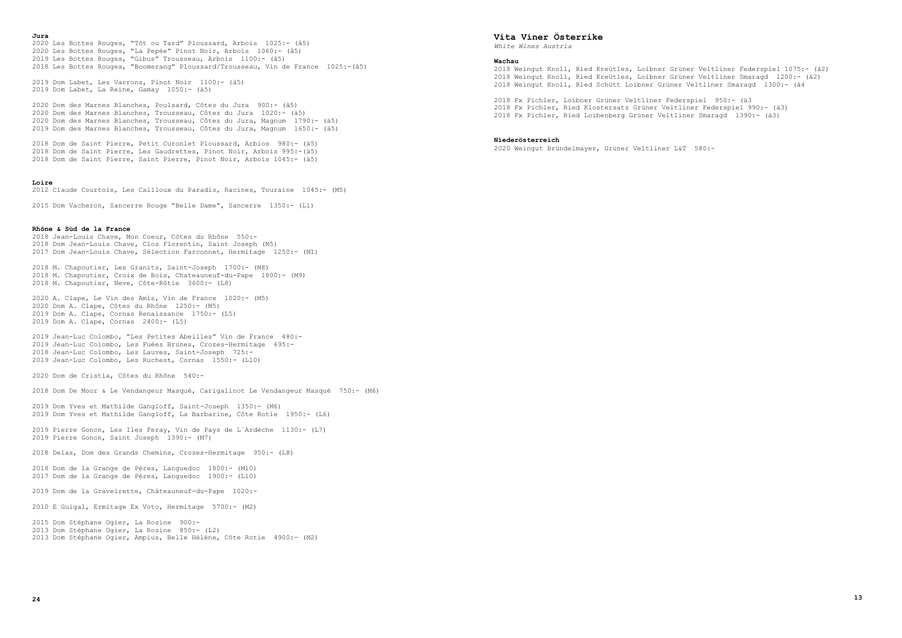**Jura**

2020 Les Bottes Rouges, "Tôt ou Tard" Ploussard, Arbois 1025:- (å5) 2020 Les Bottes Rouges, "La Pepée" Pinot Noir, Arbois 1060:- (å5) 2019 Les Bottes Rouges, "Gibus" Trousseau, Arbois 1100:- (å5) 2018 Les Bottes Rouges, "Boomerang" Ploussard/Trousseau, Vin de France 1025:-(å5)

2019 Dom Labet, Les Varrons, Pinot Noir 1100:- (ä5) 2019 Dom Labet, La Reine, Gamay 1050:- (ä5)

 Dom des Marnes Blanches, Poulsard, Côtes du Jura 900:- (å5) Dom des Marnes Blanches, Trousseau, Côtes du Jura 1020:- (ä5) Dom des Marnes Blanches, Trousseau, Côtes du Jura, Magnum 1790:- (ä5) Dom des Marnes Blanches, Trousseau, Côtes du Jura, Magnum 1650:- (ä5)

2018 Dom de Saint Pierre, Petit Curonlet Ploussard, Arbios 980:- (ä5) 2018 Dom de Saint Pierre, Les Gaudrettes, Pinot Noir, Arbois 995:-(ä5) 2018 Dom de Saint Pierre, Saint Pierre, Pinot Noir, Arbois 1045:- (ä5)

# **Loire**

2012 Claude Courtois, Les Cailloux du Paradis, Racines, Touraine 1045:- (M5)

2015 Dom Vacheron, Sancerre Rouge "Belle Dame", Sancerre 1350:- (L1)

# **Rhône & Süd de la France**

2018 Jean-Louis Chave, Mon Coeur, Côtes du Rhône 550:- 2018 Dom Jean-Louis Chave, Clos Florentin, Saint Joseph (M5) 2017 Dom Jean-Louis Chave, Sélection Farconnet, Hermitage 1250:- (M1)

2018 M. Chapoutier, Les Granits, Saint-Joseph 1700:- (M8) 2018 M. Chapoutier, Croix de Bois, Chateauneuf-du-Pape 1800:- (M9) 2018 M. Chapoutier, Neve, Côte-Rôtie 3600:- (L8)

2020 A. Clape, Le Vin des Amis, Vin de France 1020:- (M5) 2020 Dom A. Clape, Côtes du Rhône 1250:- (M5) 2019 Dom A. Clape, Cornas Renaissance 1750:- (L5) 2019 Dom A. Clape, Cornas 2400:- (L5)

2019 Jean-Luc Colombo, "Les Petites Abeilles" Vin de France 480:- 2019 Jean-Luc Colombo, Les Fuées Brunes, Crozes-Hermitage 695:- 2018 Jean-Luc Colombo, Les Lauves, Saint-Joseph 725:- 2019 Jean-Luc Colombo, Les Ruchest, Cornas 1550:- (L10)

2020 Dom de Cristia, Côtes du Rhône 540:-

2018 Dom De Moor & Le Vendangeur Masqué, Carigalinot Le Vendangeur Masqué 750:- (M6)

2019 Dom Yves et Mathilde Gangloff, Saint-Joseph 1350:- (M6) 2019 Dom Yves et Mathilde Gangloff, La Barbarine, Côte Rotie 1950:- (L6)

2019 Pierre Gonon, Les Iles Feray, Vin de Pays de L´Ardèche 1130:- (L7) 2019 Pierre Gonon, Saint Joseph 1390:- (M7)

2018 Delas, Dom des Grands Chemins, Crozes-Hermitage 950:- (L8)

2018 Dom de la Grange de Pères, Languedoc 1800:- (M10) 2017 Dom de la Grange de Pères, Languedoc 1900:- (L10)

2019 Dom de la Graveirette, Châteauneuf-du-Pape 1020:-

2010 E Guigal, Ermitage Ex Voto, Hermitage 5700:- (M2)

2015 Dom Stéphane Ogier, La Rosine 900:- 2013 Dom Stéphane Ogier, La Rosine 850:- (L2) 2013 Dom Stéphane Ogier, Ampius, Belle Hélène, Côte Rotie 4900:- (M2)

# **Vita Viner Österrike**

*White Wines Austria*

#### **Wachau**

2018 Weingut Knoll, Ried Kreütles, Loibner Grüner Veltliner Federspiel 1075:- (å2) 2018 Weingut Knoll, Ried Kreütles, Loibner Grüner Veltliner Smaragd 1200:- (å2) 2018 Weingut Knoll, Ried Schütt Loibner Grüner Veltliner Smaragd 1300:- (å4

2018 Fx Pichler, Loibner Grüner Veltliner Federspiel 950:- (ä3 2018 Fx Pichler, Ried Klostersatz Grüner Veltliner Federspiel 990:- (ä3) 2018 Fx Pichler, Ried Loibenberg Grüner Veltliner Smaragd 1390:- (ä3)

### **Niederösterreich**

2020 Weingut Bründelmayer, Grüner Veltliner L&T 580:-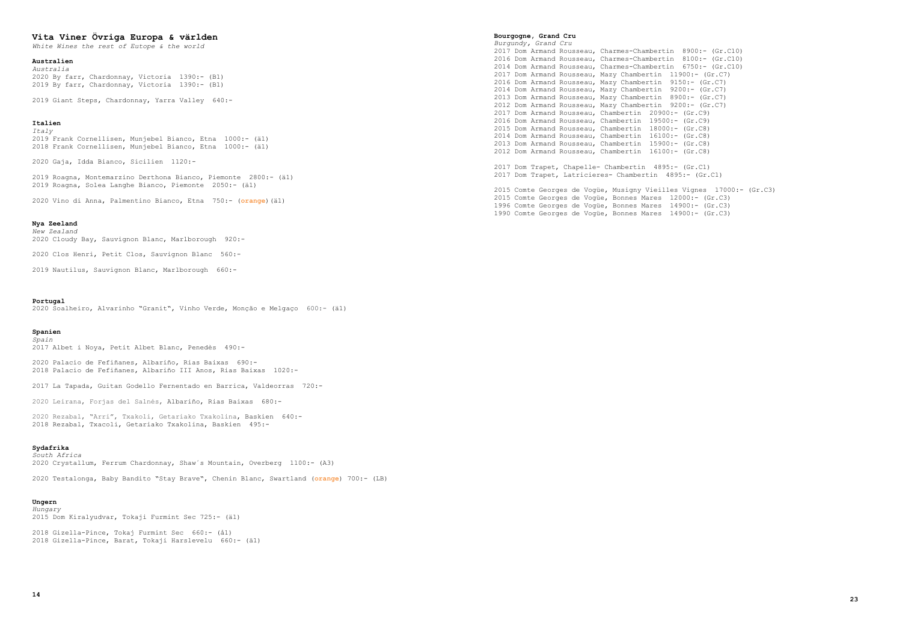# **Vita Viner Övriga Europa & världen**

*White Wines the rest of Eutope & the world*

# **Australien**

*Australia* 2020 By farr, Chardonnay, Victoria 1390:- (B1) 2019 By farr, Chardonnay, Victoria 1390:- (B1)

2019 Giant Steps, Chardonnay, Yarra Valley 640:-

#### **Italien** *Italy*

2019 Frank Cornellisen, Munjebel Bianco, Etna 1000:- (ä1) 2018 Frank Cornellisen, Munjebel Bianco, Etna 1000:- (ä1)

2020 Gaja, Idda Bianco, Sicilien 1120:-

2019 Roagna, Montemarzino Derthona Bianco, Piemonte 2800:- (ä1) 2019 Roagna, Solea Langhe Bianco, Piemonte 2050:- (ä1)

2020 Vino di Anna, Palmentino Bianco, Etna 750:- (**orange**)(ä1)

# **Nya Zeeland**

*New Zealand* 2020 Cloudy Bay, Sauvignon Blanc, Marlborough 920:-

2020 Clos Henri, Petit Clos, Sauvignon Blanc 560:-

2019 Nautilus, Sauvignon Blanc, Marlborough 660:-

#### **Portugal**

2020 Soalheiro, Alvarinho "Granit", Vinho Verde, Monção e Melgaço 600:- (ä1)

#### **Spanien** *Spain*

2017 Albet i Noya, Petit Albet Blanc, Penedès 490:-

2020 Palacio de Fefiñanes, Albariño, Rias Baixas 690:- 2018 Palacio de Fefiñanes, Albariño III Anos, Rias Baixas 1020:-

2017 La Tapada, Guitan Godello Fernentado en Barrica, Valdeorras 720:-

2020 Leirana, Forjas del Salnés, Albariño, Rias Baixas 680:-

2020 Rezabal, "Arri", Txakoli, Getariako Txakolina, Baskien 640:- 2018 Rezabal, Txacoli, Getariako Txakolina, Baskien 495:-

# **Sydafrika**

*South Africa* 2020 Crystallum, Ferrum Chardonnay, Shaw´s Mountain, Overberg 1100:- (A3)

2020 Testalonga, Baby Bandito "Stay Brave", Chenin Blanc, Swartland (**orange**) 700:- (LB)

# **Ungern**

*Hungary* 2015 Dom Kiralyudvar, Tokaji Furmint Sec 725:- (ä1)

2018 Gizella-Pince, Tokaj Furmint Sec 660:- (å1) 2018 Gizella-Pince, Barat, Tokaji Harslevelu 660:- (ä1)

#### **Bourgogne, Grand Cru**

*Burgundy, Grand Cru* 2017 Dom Armand Rousseau, Charmes-Chambertin 8900:- (Gr.C10) 2016 Dom Armand Rousseau, Charmes-Chambertin 8100:- (Gr.C10) 2014 Dom Armand Rousseau, Charmes-Chambertin 6750:- (Gr.C10) 2017 Dom Armand Rousseau, Mazy Chambertin 11900:- (Gr.C7) 2016 Dom Armand Rousseau, Mazy Chambertin 9150:- (Gr.C7) 2014 Dom Armand Rousseau, Mazy Chambertin 9200:- (Gr.C7) 2013 Dom Armand Rousseau, Mazy Chambertin 8900:- (Gr.C7) 2012 Dom Armand Rousseau, Mazy Chambertin 9200:- (Gr.C7) 2017 Dom Armand Rousseau, Chambertin 20900:- (Gr.C9) 2016 Dom Armand Rousseau, Chambertin 19500:- (Gr.C9) 2015 Dom Armand Rousseau, Chambertin 18000:- (Gr.C8) 2014 Dom Armand Rousseau, Chambertin 16100:- (Gr.C8) 2013 Dom Armand Rousseau, Chambertin 15900:- (Gr.C8) 2012 Dom Armand Rousseau, Chambertin 16100:- (Gr.C8)

2017 Dom Trapet, Chapelle- Chambertin 4895:- (Gr.C1) 2017 Dom Trapet, Latricieres- Chambertin 4895:- (Gr.C1)

2015 Comte Georges de Vogüe, Musigny Vieilles Vignes 17000:- (Gr.C3) 2015 Comte Georges de Vogüe, Bonnes Mares 12000:- (Gr.C3) 1996 Comte Georges de Vogüe, Bonnes Mares 14900:- (Gr.C3) 1990 Comte Georges de Vogüe, Bonnes Mares 14900:- (Gr.C3)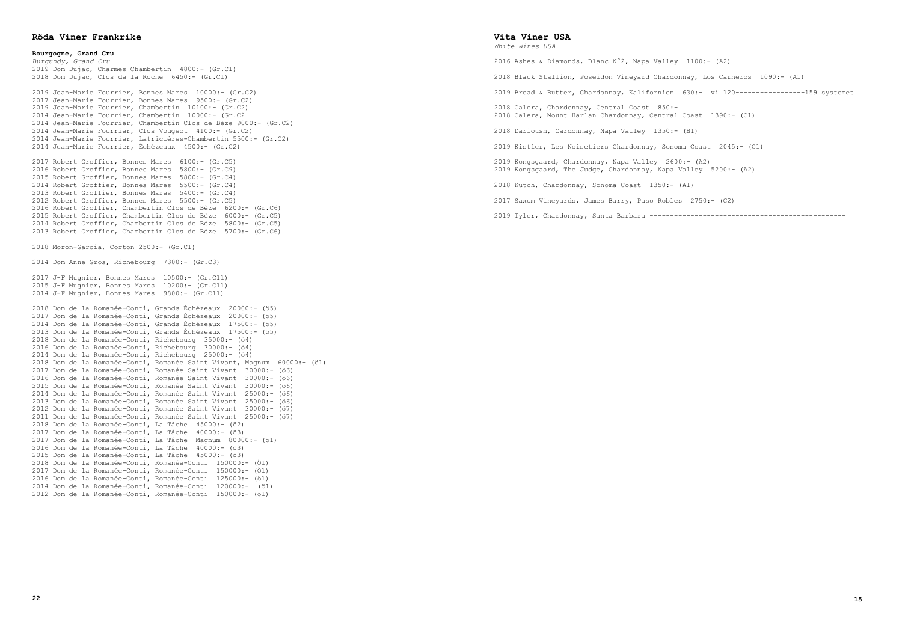# **Röda Viner Frankrike**

**Bourgogne, Grand Cru** *Burgundy, Grand Cru* 2019 Dom Dujac, Charmes Chambertin 4800:- (Gr.C1) 2018 Dom Dujac, Clos de la Roche 6450:- (Gr.C1) 2019 Jean-Marie Fourrier, Bonnes Mares 10000:- (Gr.C2) 2017 Jean-Marie Fourrier, Bonnes Mares 9500:- (Gr.C2) 2019 Jean-Marie Fourrier, Chambertin 10100:- (Gr.C2) 2014 Jean-Marie Fourrier, Chambertin 10000:- (Gr.C2 2014 Jean-Marie Fourrier, Chambertin Clos de Bèze 9000:- (Gr.C2) 2014 Jean-Marie Fourrier, Clos Vougeot 4100:- (Gr.C2) 2014 Jean-Marie Fourrier, Latricières-Chambertin 5500:- (Gr.C2) 2014 Jean-Marie Fourrier, Échézeaux 4500:- (Gr.C2) 2017 Robert Groffier, Bonnes Mares 6100:- (Gr.C5) 2016 Robert Groffier, Bonnes Mares 5800:- (Gr.C9) 2015 Robert Groffier, Bonnes Mares 5800:- (Gr.C4) 2014 Robert Groffier, Bonnes Mares 5500:- (Gr.C4) 2013 Robert Groffier, Bonnes Mares 5400:- (Gr.C4) 2012 Robert Groffier, Bonnes Mares 5500:- (Gr.C5) 2016 Robert Groffier, Chambertin Clos de Bèze 6200:- (Gr.C6) 2015 Robert Groffier, Chambertin Clos de Bèze 6000:- (Gr.C5) 2014 Robert Groffier, Chambertin Clos de Bèze 5800:- (Gr.C5) 2013 Robert Groffier, Chambertin Clos de Bèze 5700:- (Gr.C6) 2018 Moron-Garcia, Corton 2500:- (Gr.C1) 2014 Dom Anne Gros, Richebourg 7300:- (Gr.C3) 2017 J-F Mugnier, Bonnes Mares 10500:- (Gr.C11) 2015 J-F Mugnier, Bonnes Mares 10200:- (Gr.C11) 2014 J-F Mugnier, Bonnes Mares 9800:- (Gr.C11) 2018 Dom de la Romanée-Conti, Grands Échézeaux 20000:- (ö5) 2017 Dom de la Romanée-Conti, Grands Échézeaux 20000:- (ö5) 2014 Dom de la Romanée-Conti, Grands Échézeaux 17500:- (ö5) 2013 Dom de la Romanée-Conti, Grands Échézeaux 17500:- (ö5) 2018 Dom de la Romanée-Conti, Richebourg 35000:- (ö4) 2016 Dom de la Romanée-Conti, Richebourg 30000:- (ö4) 2014 Dom de la Romanée-Conti, Richebourg 25000:- (ö4) 2018 Dom de la Romanée-Conti, Romanée Saint Vivant, Magnum 60000:- (ö1) 2017 Dom de la Romanée-Conti, Romanée Saint Vivant 30000:- (ö6) 2016 Dom de la Romanée-Conti, Romanée Saint Vivant 30000:- (ö6) 2015 Dom de la Romanée-Conti, Romanée Saint Vivant 30000:- (ö6) 2014 Dom de la Romanée-Conti, Romanée Saint Vivant 25000:- (ö6) 2013 Dom de la Romanée-Conti, Romanée Saint Vivant 25000:- (ö6) 2012 Dom de la Romanée-Conti, Romanée Saint Vivant 30000:- (ö7) 2011 Dom de la Romanée-Conti, Romanée Saint Vivant 25000:- (ö7) 2018 Dom de la Romanée-Conti, La Tâche 45000:- (ö2) 2017 Dom de la Romanée-Conti, La Tâche 40000:- (ö3) 2017 Dom de la Romanée-Conti, La Tâche Magnum 80000:- (ö1) 2016 Dom de la Romanée-Conti, La Tâche 40000:- (ö3) 2015 Dom de la Romanée-Conti, La Tâche 45000:- (ö3) 2018 Dom de la Romanée-Conti, Romanée-Conti 150000:- (Ö1) 2017 Dom de la Romanée-Conti, Romanée-Conti 150000:- (Ö1) 2016 Dom de la Romanée-Conti, Romanée-Conti 125000:- (ö1) 2014 Dom de la Romanée-Conti, Romanée-Conti 120000:- (ö1) 2012 Dom de la Romanée-Conti, Romanée-Conti 150000:- (ö1)

# **Vita Viner USA**

*White Wines USA*

2016 Ashes & Diamonds, Blanc N°2, Napa Valley 1100:- (A2)

2018 Black Stallion, Poseidon Vineyard Chardonnay, Los Carneros 1090:- (A1)

```
2019 Bread & Butter, Chardonnay, Kalifornien 630:- vi 120-----------------159 systemet
```
2018 Calera, Chardonnay, Central Coast 850:- 2018 Calera, Mount Harlan Chardonnay, Central Coast 1390:- (C1)

2018 Darioush, Cardonnay, Napa Valley 1350:- (B1)

2019 Kistler, Les Noisetiers Chardonnay, Sonoma Coast 2045:- (C1)

2019 Kongsgaard, Chardonnay, Napa Valley 2600:- (A2) 2019 Kongsgaard, The Judge, Chardonnay, Napa Valley 5200:- (A2)

2018 Kutch, Chardonnay, Sonoma Coast 1350:- (A1)

2017 Saxum Vineyards, James Barry, Paso Robles 2750:- (C2)

2019 Tyler, Chardonnay, Santa Barbara ------------------------------------------------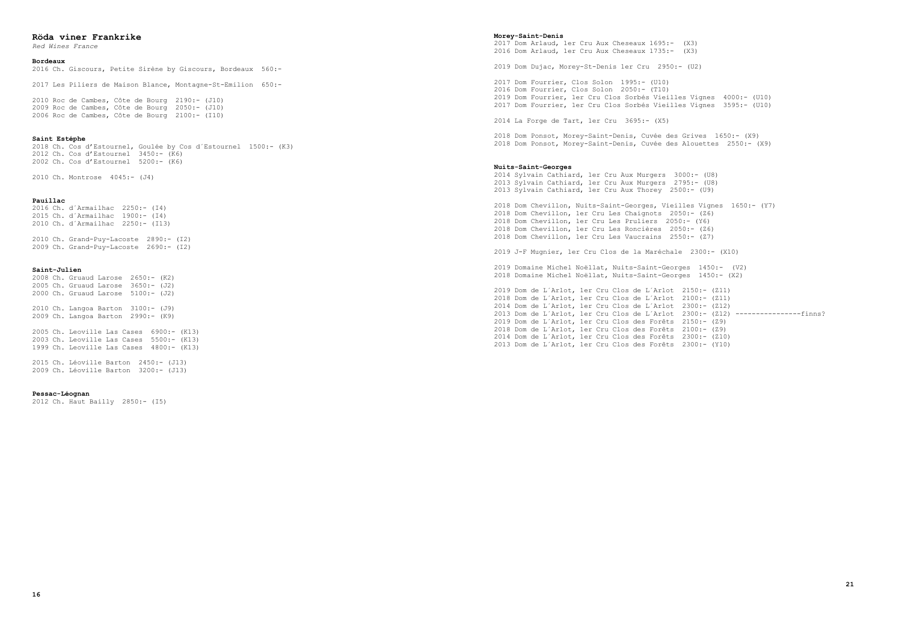# **Röda viner Frankrike**

*Red Wines France*

# **Bordeaux**

2016 Ch. Giscours, Petite Sirène by Giscours, Bordeaux 560:-

2017 Les Piliers de Maison Blance, Montagne-St-Emilion 650:-

2010 Roc de Cambes, Côte de Bourg 2190:- (J10) 2009 Roc de Cambes, Côte de Bourg 2050:- (J10) 2006 Roc de Cambes, Côte de Bourg 2100:- (I10)

#### **Saint Estéphe**

2018 Ch. Cos d'Estournel, Goulée by Cos d´Estournel 1500:- (K3) 2012 Ch. Cos d'Estournel 3450:- (K6) 2002 Ch. Cos d'Estournel 5200:- (K6)

2010 Ch. Montrose 4045:- (J4)

## **Pauillac**

2016 Ch. d´Armailhac 2250:- (I4) 2015 Ch. d´Armailhac 1900:- (I4) 2010 Ch. d´Armailhac 2250:- (I13)

2010 Ch. Grand-Puy-Lacoste 2890:- (I2) 2009 Ch. Grand-Puy-Lacoste 2690:- (I2)

#### **Saint-Julien**

2008 Ch. Gruaud Larose 2650:- (K2) 2005 Ch. Gruaud Larose 3650:- (J2) 2000 Ch. Gruaud Larose 5100:- (J2)

2010 Ch. Langoa Barton 3100:- (J9) 2009 Ch. Langoa Barton 2990:- (K9)

2005 Ch. Leoville Las Cases 6900:- (K13) 2003 Ch. Leoville Las Cases 5500:- (K13) 1999 Ch. Leoville Las Cases 4800:- (K13)

2015 Ch. Léoville Barton 2450:- (J13) 2009 Ch. Léoville Barton 3200:- (J13)

#### **Pessac-Léognan**

2012 Ch. Haut Bailly 2850:- (I5)

#### **Morey-Saint-Denis**

2017 Dom Arlaud, 1er Cru Aux Cheseaux 1695:- (X3) 2016 Dom Arlaud, 1er Cru Aux Cheseaux 1735:- (X3)

2019 Dom Dujac, Morey-St-Denis 1er Cru 2950:- (U2)

 Dom Fourrier, Clos Solon 1995:- (U10) Dom Fourrier, Clos Solon 2050:- (T10) Dom Fourrier, 1er Cru Clos Sorbés Vieilles Vignes 4000:- (U10) 2017 Dom Fourrier, 1er Cru Clos Sorbés Vieilles Vignes 3595:- (U10)

2014 La Forge de Tart, 1er Cru 3695:- (X5)

2018 Dom Ponsot, Morey-Saint-Denis, Cuvée des Grives 1650:- (X9) 2018 Dom Ponsot, Morey-Saint-Denis, Cuvée des Alouettes 2550:- (X9)

#### **Nuits-Saint-Georges**

2014 Sylvain Cathiard, 1er Cru Aux Murgers 3000:- (U8) 2013 Sylvain Cathiard, 1er Cru Aux Murgers 2795:- (U8) 2013 Sylvain Cathiard, 1er Cru Aux Thorey 2500:- (U9)

2018 Dom Chevillon, Nuits-Saint-Georges, Vieilles Vignes 1650:- (Y7) 2018 Dom Chevillon, 1er Cru Les Chaignots 2050:- (Z6) 2018 Dom Chevillon, 1er Cru Les Pruliers 2050:- (Y6) 2018 Dom Chevillon, 1er Cru Les Roncières 2050:- (Z6) 2018 Dom Chevillon, 1er Cru Les Vaucrains 2550:- (Z7)

2019 J-F Mugnier, 1er Cru Clos de la Maréchale 2300:- (X10)

2019 Domaine Michel Noëllat, Nuits-Saint-Georges 1450:- (V2) 2018 Domaine Michel Noëllat, Nuits-Saint-Georges 1450:- (X2)

 Dom de L´Arlot, 1er Cru Clos de L´Arlot 2150:- (Z11) 2018 Dom de L´Arlot, 1er Cru Clos de L´Arlot 2100:- (Z11) Dom de L´Arlot, 1er Cru Clos de L´Arlot 2300:- (Z12) Dom de L´Arlot, 1er Cru Clos de L´Arlot 2300:- (Z12) ----------------finns? Dom de L´Arlot, 1er Cru Clos des Forêts 2150:- (Z9) 2018 Dom de L´Arlot, 1er Cru Clos des Forêts 2100:- (Z9) Dom de L´Arlot, 1er Cru Clos des Forêts 2300:- (Z10) Dom de L´Arlot, 1er Cru Clos des Forêts 2300:- (Y10)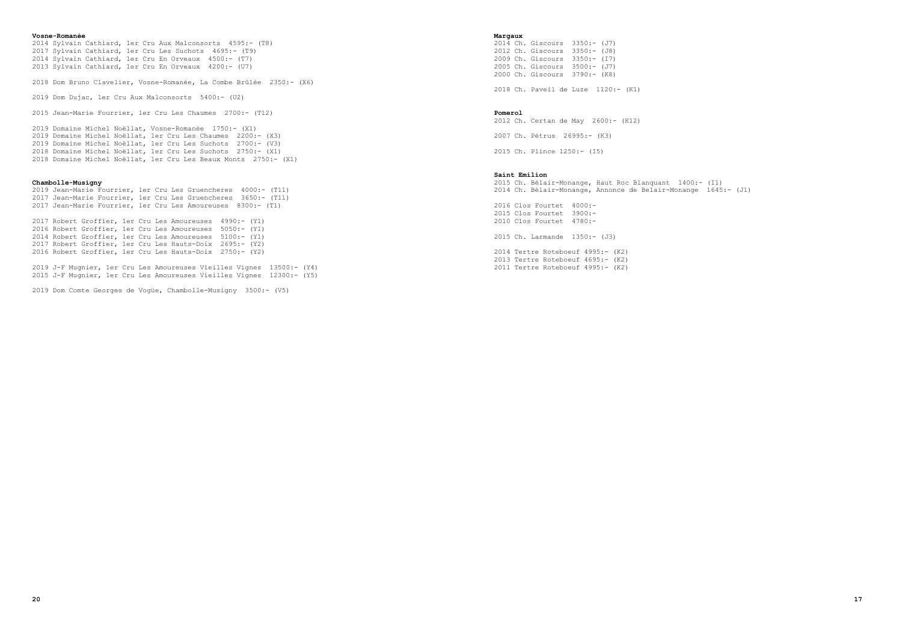#### **Vosne-Romanée**

 Sylvain Cathiard, 1er Cru Aux Malconsorts 4595:- (T8) Sylvain Cathiard, 1er Cru Les Suchots 4695:- (T9) Sylvain Cathiard, 1er Cru En Orveaux 4500:- (T7) 2013 Sylvain Cathiard, 1er Cru En Orveaux 4200:- (U7)

2018 Dom Bruno Clavelier, Vosne-Romanée, La Combe Brûlée 2350:- (X6)

2019 Dom Dujac, 1er Cru Aux Malconsorts 5400:- (U2)

2015 Jean-Marie Fourrier, 1er Cru Les Chaumes 2700:- (T12)

2019 Domaine Michel Noëllat, Vosne-Romanée 1750:- (X1) 2019 Domaine Michel Noëllat, 1er Cru Les Chaumes 2200:- (X3) 2019 Domaine Michel Noëllat, 1er Cru Les Suchots 2700:- (V3) 2018 Domaine Michel Noëllat, 1er Cru Les Suchots 2750:- (X1) 2018 Domaine Michel Noëllat, 1er Cru Les Beaux Monts 2750:- (X1)

# **Chambolle-Musigny**

2019 Jean-Marie Fourrier, 1er Cru Les Gruencheres 4000:- (T11) 2017 Jean-Marie Fourrier, 1er Cru Les Gruencheres 3650:- (T11) 2017 Jean-Marie Fourrier, 1er Cru Les Amoureuses 8300:- (T1)

2017 Robert Groffier, 1er Cru Les Amoureuses 4990:- (Y1) 2016 Robert Groffier, 1er Cru Les Amoureuses 5050:- (Y1) 2014 Robert Groffier, 1er Cru Les Amoureuses 5100:- (Y1) 2017 Robert Groffier, 1er Cru Les Hauts-Doix 2695:- (Y2) 2016 Robert Groffier, 1er Cru Les Hauts-Doix 2750:- (Y2)

2019 J-F Mugnier, 1er Cru Les Amoureuses Vieilles Vignes 13500:- (Y4) 2015 J-F Mugnier, 1er Cru Les Amoureuses Vieilles Vignes 12300:- (Y5)

2019 Dom Comte Georges de Vogüe, Chambolle-Musigny 3500:- (V5)

#### **Margaux**

2014 Ch. Giscours 3350:- (J7) 2012 Ch. Giscours 3350:- (J8) 2009 Ch. Giscours 3350:- (I7) 2005 Ch. Giscours 3500:- (J7) 2000 Ch. Giscours 3790:- (K8)

2018 Ch. Paveil de Luze 1120:- (K1)

#### **Pomerol**

2012 Ch. Certan de May 2600:- (K12)

2007 Ch. Pétrus 26995:- (K3)

2015 Ch. Plince 1250:- (I5)

# **Saint Emilion**

2015 Ch. Bélair-Monange, Haut Roc Blanquant 1400:- (I1) 2014 Ch. Bélair-Monange, Annonce de Belair-Monange 1645:- (J1)

2016 Clos Fourtet 4000:- 2015 Clos Fourtet 3900:- 2010 Clos Fourtet 4780:-

2015 Ch. Larmande 1350:- (J3)

2014 Tertre Roteboeuf 4995:- (K2) 2013 Tertre Roteboeuf 4695:- (K2) 2011 Tertre Roteboeuf 4995:- (K2)